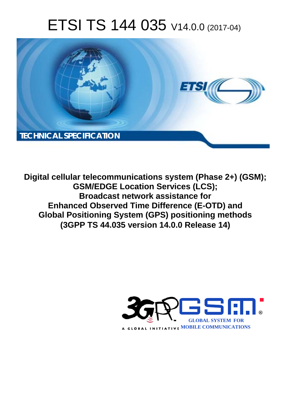# ETSI TS 144 035 V14.0.0 (2017-04)



**Digital cellular telecommunications system (Phase 2+) (GSM); GSM/EDGE Location Services (LCS); Broadcast network assistance for Enhanced Observed Time Difference (E-OTD) and Global Positioning System (GPS) positioning methods (3GPP TS 44.035 version 14.0.0 Release 14)** 

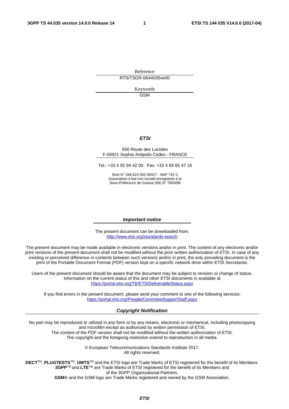Reference RTS/TSGR-0644035ve00

> Keywords GSM

### *ETSI*

#### 650 Route des Lucioles F-06921 Sophia Antipolis Cedex - FRANCE

Tel.: +33 4 92 94 42 00 Fax: +33 4 93 65 47 16

Siret N° 348 623 562 00017 - NAF 742 C Association à but non lucratif enregistrée à la Sous-Préfecture de Grasse (06) N° 7803/88

#### *Important notice*

The present document can be downloaded from: <http://www.etsi.org/standards-search>

The present document may be made available in electronic versions and/or in print. The content of any electronic and/or print versions of the present document shall not be modified without the prior written authorization of ETSI. In case of any existing or perceived difference in contents between such versions and/or in print, the only prevailing document is the print of the Portable Document Format (PDF) version kept on a specific network drive within ETSI Secretariat.

Users of the present document should be aware that the document may be subject to revision or change of status. Information on the current status of this and other ETSI documents is available at <https://portal.etsi.org/TB/ETSIDeliverableStatus.aspx>

If you find errors in the present document, please send your comment to one of the following services: <https://portal.etsi.org/People/CommiteeSupportStaff.aspx>

#### *Copyright Notification*

No part may be reproduced or utilized in any form or by any means, electronic or mechanical, including photocopying and microfilm except as authorized by written permission of ETSI.

The content of the PDF version shall not be modified without the written authorization of ETSI. The copyright and the foregoing restriction extend to reproduction in all media.

> © European Telecommunications Standards Institute 2017. All rights reserved.

**DECT**TM, **PLUGTESTS**TM, **UMTS**TM and the ETSI logo are Trade Marks of ETSI registered for the benefit of its Members. **3GPP**TM and **LTE**™ are Trade Marks of ETSI registered for the benefit of its Members and of the 3GPP Organizational Partners.

**GSM**® and the GSM logo are Trade Marks registered and owned by the GSM Association.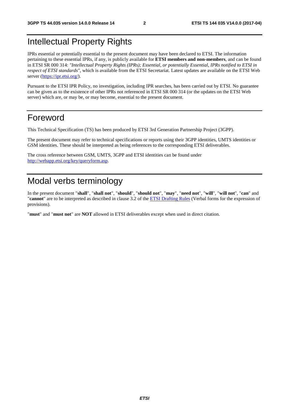## Intellectual Property Rights

IPRs essential or potentially essential to the present document may have been declared to ETSI. The information pertaining to these essential IPRs, if any, is publicly available for **ETSI members and non-members**, and can be found in ETSI SR 000 314: *"Intellectual Property Rights (IPRs); Essential, or potentially Essential, IPRs notified to ETSI in respect of ETSI standards"*, which is available from the ETSI Secretariat. Latest updates are available on the ETSI Web server ([https://ipr.etsi.org/\)](https://ipr.etsi.org/).

Pursuant to the ETSI IPR Policy, no investigation, including IPR searches, has been carried out by ETSI. No guarantee can be given as to the existence of other IPRs not referenced in ETSI SR 000 314 (or the updates on the ETSI Web server) which are, or may be, or may become, essential to the present document.

## Foreword

This Technical Specification (TS) has been produced by ETSI 3rd Generation Partnership Project (3GPP).

The present document may refer to technical specifications or reports using their 3GPP identities, UMTS identities or GSM identities. These should be interpreted as being references to the corresponding ETSI deliverables.

The cross reference between GSM, UMTS, 3GPP and ETSI identities can be found under [http://webapp.etsi.org/key/queryform.asp.](http://webapp.etsi.org/key/queryform.asp)

## Modal verbs terminology

In the present document "**shall**", "**shall not**", "**should**", "**should not**", "**may**", "**need not**", "**will**", "**will not**", "**can**" and "**cannot**" are to be interpreted as described in clause 3.2 of the [ETSI Drafting Rules](https://portal.etsi.org/Services/editHelp!/Howtostart/ETSIDraftingRules.aspx) (Verbal forms for the expression of provisions).

"**must**" and "**must not**" are **NOT** allowed in ETSI deliverables except when used in direct citation.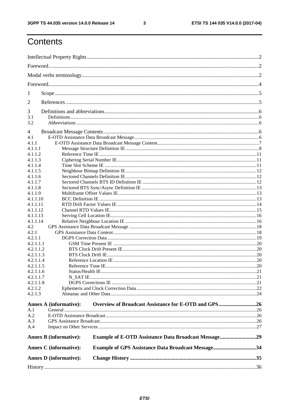$\mathbf{3}$ 

## Contents

| $\mathbf{I}$ |                               |                                                           |  |  |  |  |  |  |
|--------------|-------------------------------|-----------------------------------------------------------|--|--|--|--|--|--|
| 2            |                               |                                                           |  |  |  |  |  |  |
| 3<br>3.1     |                               |                                                           |  |  |  |  |  |  |
| 3.2          |                               |                                                           |  |  |  |  |  |  |
| 4            |                               |                                                           |  |  |  |  |  |  |
| 4.1          |                               |                                                           |  |  |  |  |  |  |
| 4.1.1        |                               |                                                           |  |  |  |  |  |  |
| 4.1.1.1      |                               |                                                           |  |  |  |  |  |  |
| 4.1.1.2      |                               |                                                           |  |  |  |  |  |  |
| 4.1.1.3      |                               |                                                           |  |  |  |  |  |  |
| 4.1.1.4      |                               |                                                           |  |  |  |  |  |  |
| 4.1.1.5      |                               |                                                           |  |  |  |  |  |  |
| 4.1.1.6      |                               |                                                           |  |  |  |  |  |  |
| 4.1.1.7      |                               |                                                           |  |  |  |  |  |  |
|              |                               |                                                           |  |  |  |  |  |  |
| 4.1.1.8      |                               |                                                           |  |  |  |  |  |  |
| 4.1.1.9      |                               |                                                           |  |  |  |  |  |  |
| 4.1.1.10     |                               |                                                           |  |  |  |  |  |  |
| 4.1.1.11     |                               |                                                           |  |  |  |  |  |  |
| 4.1.1.12     |                               |                                                           |  |  |  |  |  |  |
| 4.1.1.13     |                               |                                                           |  |  |  |  |  |  |
| 4.1.1.14     |                               |                                                           |  |  |  |  |  |  |
| 4.2          |                               |                                                           |  |  |  |  |  |  |
| 4.2.1        |                               |                                                           |  |  |  |  |  |  |
| 4.2.1.1      |                               |                                                           |  |  |  |  |  |  |
| 4.2.1.1.1    |                               |                                                           |  |  |  |  |  |  |
| 4.2.1.1.2    |                               |                                                           |  |  |  |  |  |  |
| 4.2.1.1.3    |                               |                                                           |  |  |  |  |  |  |
| 4.2.1.1.4    |                               |                                                           |  |  |  |  |  |  |
| 4.2.1.1.5    |                               |                                                           |  |  |  |  |  |  |
|              |                               |                                                           |  |  |  |  |  |  |
| 4.2.1.1.6    |                               |                                                           |  |  |  |  |  |  |
| 4.2.1.1.7    |                               |                                                           |  |  |  |  |  |  |
| 4.2.1.1.8    |                               |                                                           |  |  |  |  |  |  |
| 4.2.1.2      |                               |                                                           |  |  |  |  |  |  |
| 4.2.1.3      |                               |                                                           |  |  |  |  |  |  |
|              | <b>Annex A (informative):</b> | Overview of Broadcast Assistance for E-OTD and GPS26      |  |  |  |  |  |  |
|              |                               |                                                           |  |  |  |  |  |  |
| A.1          |                               |                                                           |  |  |  |  |  |  |
| A.2          |                               |                                                           |  |  |  |  |  |  |
| A.3          |                               |                                                           |  |  |  |  |  |  |
| A.4          |                               |                                                           |  |  |  |  |  |  |
|              | <b>Annex B</b> (informative): | Example of E-OTD Assistance Data Broadcast Message29      |  |  |  |  |  |  |
|              | Annex C (informative):        | <b>Example of GPS Assistance Data Broadcast Message34</b> |  |  |  |  |  |  |
|              | <b>Annex D</b> (informative): |                                                           |  |  |  |  |  |  |
|              |                               |                                                           |  |  |  |  |  |  |
|              |                               |                                                           |  |  |  |  |  |  |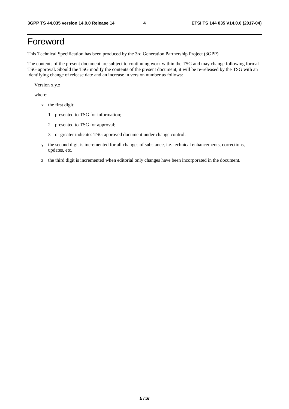## Foreword

This Technical Specification has been produced by the 3rd Generation Partnership Project (3GPP).

The contents of the present document are subject to continuing work within the TSG and may change following formal TSG approval. Should the TSG modify the contents of the present document, it will be re-released by the TSG with an identifying change of release date and an increase in version number as follows:

Version x.y.z

where:

- x the first digit:
	- 1 presented to TSG for information;
	- 2 presented to TSG for approval;
	- 3 or greater indicates TSG approved document under change control.
- y the second digit is incremented for all changes of substance, i.e. technical enhancements, corrections, updates, etc.
- z the third digit is incremented when editorial only changes have been incorporated in the document.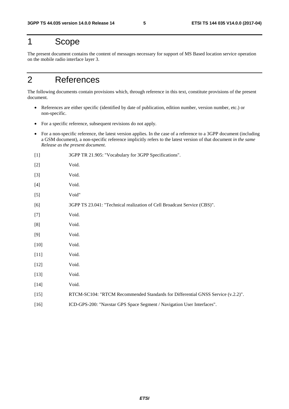## 1 Scope

The present document contains the content of messages necessary for support of MS Based location service operation on the mobile radio interface layer 3.

## 2 References

The following documents contain provisions which, through reference in this text, constitute provisions of the present document.

- References are either specific (identified by date of publication, edition number, version number, etc.) or non-specific.
- For a specific reference, subsequent revisions do not apply.
- For a non-specific reference, the latest version applies. In the case of a reference to a 3GPP document (including a GSM document), a non-specific reference implicitly refers to the latest version of that document *in the same Release as the present document*.

| $[1]$  | 3GPP TR 21.905: "Vocabulary for 3GPP Specifications".                           |
|--------|---------------------------------------------------------------------------------|
| $[2]$  | Void.                                                                           |
| $[3]$  | Void.                                                                           |
| $[4]$  | Void.                                                                           |
| $[5]$  | Void"                                                                           |
| [6]    | 3GPP TS 23.041: "Technical realization of Cell Broadcast Service (CBS)".        |
| $[7]$  | Void.                                                                           |
| [8]    | Void.                                                                           |
| $[9]$  | Void.                                                                           |
| $[10]$ | Void.                                                                           |
| $[11]$ | Void.                                                                           |
| $[12]$ | Void.                                                                           |
| $[13]$ | Void.                                                                           |
| $[14]$ | Void.                                                                           |
| $[15]$ | RTCM-SC104: "RTCM Recommended Standards for Differential GNSS Service (v.2.2)". |
| $[16]$ | ICD-GPS-200: "Navstar GPS Space Segment / Navigation User Interfaces".          |
|        |                                                                                 |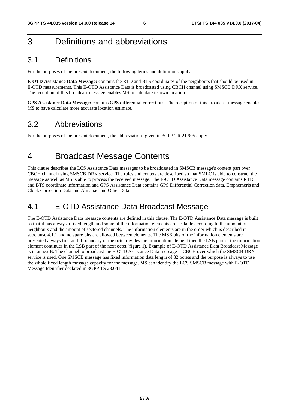## 3 Definitions and abbreviations

## 3.1 Definitions

For the purposes of the present document, the following terms and definitions apply:

**E-OTD Assistance Data Message:** contains the RTD and BTS coordinates of the neighbours that should be used in E-OTD measurements. This E-OTD Assistance Data is broadcasted using CBCH channel using SMSCB DRX service. The reception of this broadcast message enables MS to calculate its own location.

**GPS Assistance Data Message:** contains GPS differential corrections. The reception of this broadcast message enables MS to have calculate more accurate location estimate.

## 3.2 Abbreviations

For the purposes of the present document, the abbreviations given in 3GPP TR 21.905 apply.

## 4 Broadcast Message Contents

This clause describes the LCS Assistance Data messages to be broadcasted in SMSCB message's content part over CBCH channel using SMSCB DRX service. The rules and contets are described so that SMLC is able to construct the message as well as MS is able to process the received message. The E-OTD Assistance Data message contains RTD and BTS coordinate information and GPS Assistance Data contains GPS Differential Correction data, Emphemeris and Clock Correction Data and Almanac and Other Data.

## 4.1 E-OTD Assistance Data Broadcast Message

The E-OTD Assistance Data message contents are defined in this clause. The E-OTD Assistance Data message is built so that it has always a fixed length and some of the information elements are scalable according to the amount of neighbours and the amount of sectored channels. The information elements are in the order which is described in subclause 4.1.1 and no spare bits are allowed between elements. The MSB bits of the information elements are presented always first and if boundary of the octet divides the information element then the LSB part of the information element continues in the LSB part of the next octet (figure 1). Example of E-OTD Assistance Data Broadcast Message is in annex B. The channel to broadcast the E-OTD Assistance Data message is CBCH over which the SMSCB DRX service is used. One SMSCB message has fixed information data length of 82 octets and the purpose is always to use the whole fixed length message capacity for the message. MS can identify the LCS SMSCB message with E-OTD Message Identifier declared in 3GPP TS 23.041.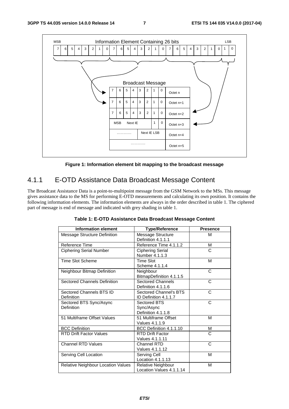

**Figure 1: Information element bit mapping to the broadcast message** 

## 4.1.1 E-OTD Assistance Data Broadcast Message Content

The Broadcast Assistance Data is a point-to-multipoint message from the GSM Network to the MSs. This message gives assistance data to the MS for performing E-OTD measurements and calculating its own position. It contains the following information elements. The information elements are always in the order described in table 1. The ciphered part of message is end of message and indicated with grey shading in table 1.

| <b>Information element</b>             | <b>Type/Reference</b>                            | <b>Presence</b> |
|----------------------------------------|--------------------------------------------------|-----------------|
| Message Structure Definition           | Message Structure<br>Definition 4.1.1.1          | M               |
| Reference Time                         | Reference Time 4.1.1.2                           | м               |
| <b>Ciphering Serial Number</b>         | <b>Ciphering Serial</b><br>Number 4.1.1.3        | C               |
| <b>Time Slot Scheme</b>                | <b>Time Slot</b><br>Scheme 4.1.1.4               | М               |
| Neighbour Bitmap Definition            | Neighbour<br>BitmapDefinition 4.1.1.5            | C               |
| <b>Sectored Channels Definition</b>    | <b>Sectored Channels</b><br>Definition 4.1.1.6   | C               |
| Sectored Channels BTS ID<br>Definition | Sectored Channel's BTS<br>ID Definition 4.1.1.7  | C               |
| Sectored BTS Sync/Async<br>Definition  | Sectored BTS<br>Sync/Async<br>Definition 4.1.1.8 | C               |
| 51 Multiframe Offset Values            | 51 Multiframe Offset<br>Values 4.1.1.9           | M               |
| <b>BCC Definition</b>                  | BCC Definition 4.1.1.10                          | М               |
| <b>RTD Drift Factor Values</b>         | <b>RTD Drift Factor</b><br>Values 4.1.1.11       | C               |
| <b>Channel RTD Values</b>              | Channel RTD<br>Values 4.1.1.12                   | C               |
| Serving Cell Location                  | Serving Cell<br>Location 4.1.1.13                | M               |
| Relative Neighbour Location Values     | Relative Neighbour<br>Location Values 4.1.1.14   | М               |

**Table 1: E-OTD Assistance Data Broadcast Message Content**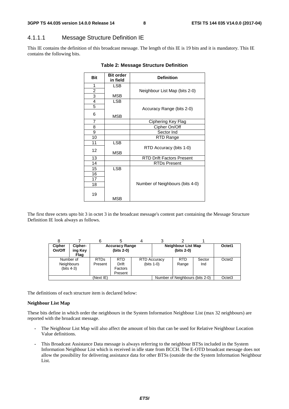## 4.1.1.1 Message Structure Definition IE

This IE contains the definition of this broadcast message. The length of this IE is 19 bits and it is mandatory. This IE contains the following bits.

| <b>Bit</b>     | <b>Bit order</b><br>in field | <b>Definition</b>                |  |  |
|----------------|------------------------------|----------------------------------|--|--|
| 1              | <b>LSB</b>                   |                                  |  |  |
| 2              |                              | Neighbour List Map (bits 2-0)    |  |  |
| $\overline{3}$ | MSB                          |                                  |  |  |
| $\overline{4}$ | <b>LSB</b>                   |                                  |  |  |
| 5              |                              | Accuracy Range (bits 2-0)        |  |  |
| 6              | MSB                          |                                  |  |  |
| $\overline{7}$ |                              | Ciphering Key Flag               |  |  |
| 8              |                              | Cipher On/Off                    |  |  |
| 9              |                              | Sector Ind                       |  |  |
| 10             |                              | RTD Range                        |  |  |
| 11             | <b>LSB</b>                   |                                  |  |  |
| 12             | MSB                          | RTD Accuracy (bits 1-0)          |  |  |
| 13             |                              | <b>RTD Drift Factors Present</b> |  |  |
| 14             |                              | <b>RTDs Present</b>              |  |  |
| 15             | <b>LSB</b>                   |                                  |  |  |
| 16             |                              |                                  |  |  |
| 17             |                              |                                  |  |  |
| 18             |                              | Number of Neighbours (bits 4-0)  |  |  |
| 19             | MSB                          |                                  |  |  |

#### **Table 2: Message Structure Definition**

The first three octets upto bit 3 in octet 3 in the broadcast message's content part containing the Message Structure Definition IE look always as follows.

| <b>Cipher</b><br>On/Off                        | Cipher-<br>ing Key<br>Flag | <b>Accuracy Range</b><br>$(bits 2-0)$ |                                           |  | <b>Neighbour List Map</b><br>(bits 2-0) |                                 | Octet1        |                    |
|------------------------------------------------|----------------------------|---------------------------------------|-------------------------------------------|--|-----------------------------------------|---------------------------------|---------------|--------------------|
| Number of<br><b>Neighbours</b><br>$(bits 4-3)$ |                            | <b>RTDs</b><br>Present                | <b>RTD</b><br>Drift<br>Factors<br>Present |  | <b>RTD Accuracy</b><br>(bits $1-0$ )    | RTD.<br>Range                   | Sector<br>Ind | Octet <sub>2</sub> |
| (Next IE)                                      |                            |                                       |                                           |  |                                         | Number of Neighbours (bits 2-0) |               | Octet <sub>3</sub> |

The definitions of each structure item is declared below:

#### **Neighbour List Map**

These bits define in which order the neighbours in the System Information Neighbour List (max 32 neighbours) are reported with the broadcast message.

- The Neighbour List Map will also affect the amount of bits that can be used for Relative Neighbour Location Value definitions.
- This Broadcast Assistance Data message is always referring to the neighbour BTSs included in the System Information Neighbour List which is received in idle state from BCCH. The E-OTD broadcast message does not allow the possibility for delivering assistance data for other BTSs (outside the the System Information Neighbour List.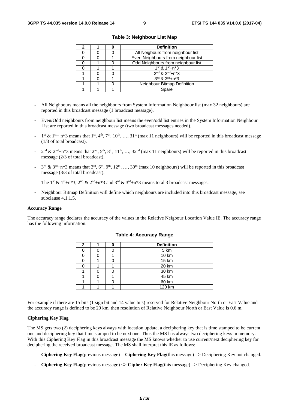|  | <b>Definition</b>                   |  |  |
|--|-------------------------------------|--|--|
|  | All Neigbours from neighbour list   |  |  |
|  | Even Neighbours from neighbour list |  |  |
|  | Odd Neighbours from neighbour list  |  |  |
|  | $1^{st}$ & $1^{st}+n^{*}3$          |  |  |
|  | $2^{nd}$ & $2^{nd}+n*3$             |  |  |
|  | 3rd & 3rd+n*3                       |  |  |
|  | Neighbour Bitmap Definition         |  |  |
|  | Spare                               |  |  |

**Table 3: Neighbour List Map** 

- All Neighbours means all the neighbours from System Information Neighbour list (max 32 neighbours) are reported in this broadcast message (1 broadcast message).
- Even/Odd neighbours from neighbour list means the even/odd list entries in the System Information Neighbour List are reported in this broadcast message (two broadcast messages needed).
- $1^{st}$  &  $1^{st}$ + n\*3 means that  $1^{st}$ ,  $4^{th}$ ,  $7^{th}$ ,  $10^{th}$ , ...,  $31^{st}$  (max 11 neighbours) will be reported in this broadcast message (1/3 of total broadcast).
- $2<sup>nd</sup>$  &  $2<sup>nd</sup>+n*3$  means that  $2<sup>nd</sup>$ ,  $5<sup>th</sup>$ ,  $8<sup>th</sup>$ ,  $11<sup>th</sup>$ , …,  $32<sup>nd</sup>$  (max 11 neighbours) will be reported in this broadcast message (2/3 of total broadcast).
- $3<sup>rd</sup>$  &  $3<sup>rd</sup>+n*3$  means that  $3<sup>rd</sup>$ ,  $6<sup>th</sup>$ ,  $9<sup>th</sup>$ ,  $12<sup>th</sup>$ , ...,  $30<sup>th</sup>$  (max 10 neighbours) will be reported in this broadcast message (3/3 of total broadcast).
- The 1<sup>st</sup> & 1<sup>st</sup>+n<sup>\*</sup>3, 2<sup>nd</sup> & 2<sup>nd</sup>+n<sup>\*3</sup> and 3<sup>rd</sup> & 3<sup>rd</sup>+n<sup>\*3</sup> means total 3 broadcast messages.
- Neighbour Bitmap Definition will define which neighbours are included into this broadcast message, see subclause 4.1.1.5.

#### **Accuracy Range**

The accuracy range declares the accuracy of the values in the Relative Neigbour Location Value IE. The accuracy range has the following information.

| າ |  | <b>Definition</b> |
|---|--|-------------------|
|   |  | 5 km              |
|   |  | 10 km             |
|   |  | 15 km             |
|   |  | 20 km             |
|   |  | 30 km             |
|   |  | 45 km             |
|   |  | 60 km             |
|   |  | 120 km            |

#### **Table 4: Accuracy Range**

For example if there are 15 bits (1 sign bit and 14 value bits) reserved for Relative Neighbour North or East Value and the accuracy range is defined to be 20 km, then resolution of Relative Neighbour North or East Value is 0.6 m.

#### **Ciphering Key Flag**

The MS gets two (2) deciphering keys always with location update, a deciphering key that is time stamped to be current one and deciphering key that time stamped to be next one. Thus the MS has always two deciphering keys in memory. With this Ciphering Key Flag in this broadcast message the MS knows whether to use current/next deciphering key for deciphering the received broadcast message. The MS shall interpret this IE as follows:

- **Ciphering Key Flag**(previous message) = **Ciphering Key Flag**(this message) => Deciphering Key not changed.
- **Ciphering Key Flag**(previous message) <> **Cipher Key Flag**(this message) => Deciphering Key changed.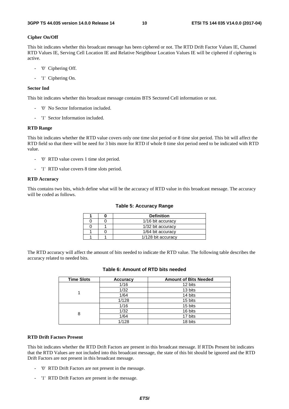#### **Cipher On/Off**

This bit indicates whether this broadcast message has been ciphered or not. The RTD Drift Factor Values IE, Channel RTD Values IE, Serving Cell Location IE and Relative Neighbour Location Values IE will be ciphered if ciphering is active.

- '0' Ciphering Off.
- '1' Ciphering On.

#### **Sector Ind**

This bit indicates whether this broadcast message contains BTS Sectored Cell information or not.

- '0' No Sector Information included.
- '1' Sector Information included.

#### **RTD Range**

This bit indicates whether the RTD value covers only one time slot period or 8 time slot period. This bit will affect the RTD field so that there will be need for 3 bits more for RTD if whole 8 time slot period need to be indicated with RTD value.

- '0' RTD value covers 1 time slot period.
- '1' RTD value covers 8 time slots period.

#### **RTD Accuracy**

This contains two bits, which define what will be the accuracy of RTD value in this broadcast message. The accuracy will be coded as follows.

#### **Table 5: Accuracy Range**

|  | <b>Definition</b>  |
|--|--------------------|
|  | 1/16 bit accuracy  |
|  | 1/32 bit accuracy  |
|  | 1/64 bit accuracy  |
|  | 1/128 bit accuracy |

The RTD accuracy will affect the amount of bits needed to indicate the RTD value. The following table describes the accuracy related to needed bits.

| <b>Time Slots</b> | <b>Accuracy</b> | <b>Amount of Bits Needed</b> |
|-------------------|-----------------|------------------------------|
|                   | 1/16            | 12 bits                      |
|                   | 1/32            | 13 bits                      |
|                   | 1/64            | 14 bits                      |
|                   | 1/128           | 15 bits                      |
|                   | 1/16            | 15 bits                      |
| 8                 | 1/32            | 16 bits                      |
|                   | 1/64            | 17 bits                      |
|                   | 1/128           | 18 bits                      |

### **Table 6: Amount of RTD bits needed**

#### **RTD Drift Factors Present**

This bit indicates whether the RTD Drift Factors are present in this broadcast message. If RTDs Present bit indicates that the RTD Values are not included into this broadcast message, the state of this bit should be ignored and the RTD Drift Factors are not present in this broadcast message.

- '0' RTD Drift Factors are not present in the message.
- '1' RTD Drift Factors are present in the message.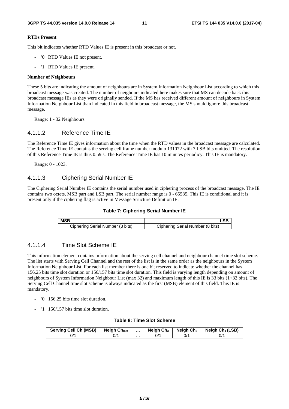#### **RTDs Present**

This bit indicates whether RTD Values IE is present in this broadcast or not.

- '0' RTD Values IE not present.
- '1' RTD Values IE present.

#### **Number of Neighbours**

These 5 bits are indicating the amount of neighbours are in System Information Neighbour List according to which this broadcast message was created. The number of neigbours indicated here makes sure that MS can decode back this broadcast message IEs as they were originally sended. If the MS has received different amount of neighbours in System Information Neighbour List than indicated in this field in broadcast message, the MS should ignore this broadcast message.

Range: 1 - 32 Neighbours.

### 4.1.1.2 Reference Time IE

The Reference Time IE gives information about the time when the RTD values in the broadcast message are calculated. The Reference Time IE contains the serving cell frame number modulo 131072 with 7 LSB bits omitted. The resolution of this Reference Time IE is thus 0.59 s. The Reference Time IE has 10 minutes periodicy. This IE is mandatory.

Range: 0 - 1023.

### 4.1.1.3 Ciphering Serial Number IE

The Ciphering Serial Number IE contains the serial number used in ciphering process of the broadcast message. The IE contains two octets, MSB part and LSB part. The serial number range is 0 - 65535. This IE is conditional and it is present only if the ciphering flag is active in Message Structure Definition IE.



| <b>MSB</b>                       |                                  |
|----------------------------------|----------------------------------|
| Ciphering Serial Number (8 bits) | Ciphering Serial Number (8 bits) |

### 4.1.1.4 Time Slot Scheme IE

This information element contains information about the serving cell channel and neighbour channel time slot scheme. The list starts with Serving Cell Channel and the rest of the list is in the same order as the neighbours in the System Information Neighbour List. For each list member there is one bit reserved to indicate whether the channel has 156.25 bits time slot duration or 156/157 bits time slot duration. This field is varying length depending on amount of neighbours of System Information Neighbour List (max 32) and maximum length of this IE is 33 bits (1+32 bits). The Serving Cell Channel time slot scheme is always indicated as the first (MSB) element of this field. This IE is mandatory.

- '0' 156.25 bits time slot duration.
- '1' 156/157 bits time slot duration.

#### **Table 8: Time Slot Scheme**

| <b>Serving Cell Ch (MSB)</b> | <b>Neigh Chlast</b> |   | Neigh Ch <sub>3</sub> | Neigh Ch <sub>2</sub> | Neigh $Ch_1(LSB)$ |
|------------------------------|---------------------|---|-----------------------|-----------------------|-------------------|
| 0/1                          | 0/                  | . | 0/·                   | 0/1                   | ^/0               |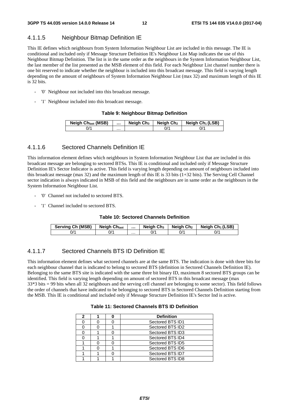## 4.1.1.5 Neighbour Bitmap Definition IE

This IE defines which neighbours from System Information Neighbour List are included in this message. The IE is conditional and included only if Message Structure Definition IE's Neighbour List Map indicates the use of this Neighbour Bitmap Definition. The list is in the same order as the neighbours in the System Information Neighbour List, the last member of the list presented as the MSB element of this field. For each Neighbour List channel number there is one bit reserved to indicate whether the neighbour is included into this broadcast message. This field is varying length depending on the amount of neighbours of System Information Neighbour List (max 32) and maximum length of this IE is 32 bits.

- '0' Neighbour not included into this broadcast message.
- '1' Neighbour included into this broadcast message.

#### **Table 9: Neighbour Bitmap Definition**

| <b>Neigh Chlast (MSB)</b> |   | Neigh Ch <sub>3</sub> | Neigh Ch <sub>2</sub> | Neigh $Ch_1(LSB)$ |
|---------------------------|---|-----------------------|-----------------------|-------------------|
| J'                        | . |                       |                       |                   |

## 4.1.1.6 Sectored Channels Definition IE

This information element defines which neighbours in System Information Neighbour List that are included in this broadcast message are belonging to sectored BTSs. This IE is conditional and included only if Message Structure Definition IE's Sector Indicator is active. This field is varying length depending on amount of neighbours included into this broadcast message (max 32) and the maximum length of this IE is 33 bits (1+32 bits). The Serving Cell Channel sector indication is always indicated in MSB of this field and the neighbours are in same order as the neighbours in the System Information Neighbour List.

- '0' Channel not included to sectored BTS.
- '1' Channel included to sectored BTS.

#### **Table 10: Sectored Channels Definition**

| Serving Ch (MSB) | <b>Neigh Chlast</b> |   | Neigh Ch <sub>3</sub> | Neigh Ch <sub>2</sub> | Neigh Ch <sub>1</sub> (LSB) |
|------------------|---------------------|---|-----------------------|-----------------------|-----------------------------|
| J/               | J/'                 | . |                       | ^/0                   | ^/0                         |

## 4.1.1.7 Sectored Channels BTS ID Definition IE

This information element defines what sectored channels are at the same BTS. The indication is done with three bits for each neighbour channel that is indicated to belong to sectored BTS (definition in Sectored Channels Definition IE). Belonging to the same BTS site is indicated with the same three bit binary ID, maximum 8 sectored BTS groups can be identified. This field is varying length depending on amount of sectored BTS in this broadcast message (max 33\*3 bits = 99 bits when all 32 neighbours and the serving cell channel are belonging to some sector). This field follows the order of channels that have indicated to be belonging to sectored BTS in Sectored Channels Definition starting from the MSB. This IE is conditional and included only if Message Structure Definition IE's Sector Ind is active.

#### **Table 11: Sectored Channels BTS ID Definition**

| 2 |  | <b>Definition</b> |
|---|--|-------------------|
|   |  | Sectored BTS ID1  |
|   |  | Sectored BTS ID2  |
|   |  | Sectored BTS ID3  |
|   |  | Sectored BTS ID4  |
|   |  | Sectored BTS ID5  |
|   |  | Sectored BTS ID6  |
|   |  | Sectored BTS ID7  |
|   |  | Sectored BTS ID8  |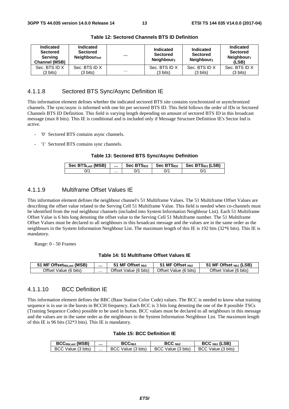| <b>Indicated</b><br><b>Sectored</b><br><b>Serving</b><br><b>Channel (MSB)</b> | <b>Indicated</b><br><b>Sectored</b><br>Neighbourlast | $\cdots$ | Indicated<br><b>Sectored</b><br>Neighbour <sub>3</sub> | Indicated<br><b>Sectored</b><br>Neighbour <sub>2</sub> | Indicated<br><b>Sectored</b><br>Neighbour <sub>1</sub><br>(LSB) |
|-------------------------------------------------------------------------------|------------------------------------------------------|----------|--------------------------------------------------------|--------------------------------------------------------|-----------------------------------------------------------------|
| Sec. BTS ID X                                                                 | Sec. BTS ID X                                        |          | Sec. BTS ID X                                          | Sec. BTS ID X                                          | Sec. BTS ID X                                                   |
| $(3 \text{ bits})$                                                            | $(3 \text{ bits})$                                   | $\cdots$ | $(3 \text{ bits})$                                     | $(3 \text{ bits})$                                     | $(3 \text{ bits})$                                              |

**Table 12: Sectored Channels BTS ID Definition** 

### 4.1.1.8 Sectored BTS Sync/Async Definition IE

This information element defines whether the indicated sectored BTS site contains synchronized or asynchronized channels. The sync/async is informed with one bit per sectored BTS ID. This field follows the order of IDs in Sectored Channels BTS ID Definition. This field is varying length depending on amount of sectored BTS ID in this broadcast message (max 8 bits). This IE is conditional and is included only if Message Structure Definition IE's Sector Ind is active.

- '0' Sectored BTS contains async channels.
- '1' Sectored BTS contains sync channels.

#### **Table 13: Sectored BTS Sync/Async Definition**

| Sec BTS <sub>Last</sub> (MSB) |   | Sec BTS <sub>ID3</sub> | Sec BTS <sub>ID2</sub> | Sec BTS <sub>ID1</sub> (LSB) |
|-------------------------------|---|------------------------|------------------------|------------------------------|
| ^/(                           | . |                        | ^/د                    | JI                           |

## 4.1.1.9 Multiframe Offset Values IE

This information element defines the neighbour channel's 51 Multiframe Values. The 51 Multiframe Offset Values are describing the offset value related to the Serving Cell 51 Multiframe Value. This field is needed when co-channels must be identified from the real neighbour channels (included into System Information Neighbour List). Each 51 Multiframe Offset Value is 6 bits long denoting the offset value to the Serving Cell 51 Multiframe number. The 51 Multiframe Offset Values must be declared to all neighbours in this broadcast message and the values are in the same order as the neighbours in the System Information Neighbour List. The maximum length of this IE is 192 bits (32\*6 bits). This IE is mandatory.

Range: 0 - 50 Frames

#### **Table 14: 51 Multiframe Offset Values IE**

| <sup>:</sup> Offset <sub>NbLast</sub> (MSB)<br>. MF |   | Offset $Nb3$<br>MF                | MF Offset Nb2            | (LSB)<br>Offset Nb1<br>. MF                 |
|-----------------------------------------------------|---|-----------------------------------|--------------------------|---------------------------------------------|
| <b>Offset Value</b><br>$(6 \text{ bits})$           | . | )ttset.<br>bits'<br>- 16<br>Value | Offset Value (6<br>bits) | Offset<br>bits <sup>'</sup><br>-61<br>Value |

### 4.1.1.10 BCC Definition IE

This information element defines the BBC (Base Station Color Code) values. The BCC is needed to know what training sequence is in use in the bursts in BCCH frequency. Each BCC is 3 bits long denoting the one of the 8 possible TSCs (Training Sequence Codes) possible to be used in bursts. BCC values must be declared to all neighbours in this message and the values are in the same order as the neighbours in the System Information Neighbour List. The maximum length of this IE is 96 bits (32\*3 bits). This IE is mandatory.

#### **Table 15: BCC Definition IE**

| <b>BCCNbLast (MSB)</b> |   | BCC <sub>Nb3</sub>    | BCC <sub>Nb2</sub>         | $BCC_{Nb1}$ (LSB)         |
|------------------------|---|-----------------------|----------------------------|---------------------------|
| BCC Value (3 bits)     | . | Value (3 bits)<br>BCC | ` Value (3 bits) ·<br>BCC. | Value (3 bits)<br>- BCC - |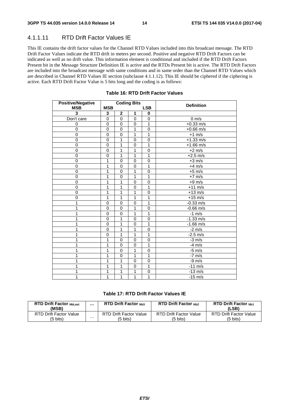## 4.1.1.11 RTD Drift Factor Values IE

This IE contains the drift factor values for the Channel RTD Values included into this broadcast message. The RTD Drift Factor Values indicate the RTD drift in meters per second. Positive and negative RTD Drift Factors can be indicated as well as no drift value. This information element is conditional and included if the RTD Drift Factors Present bit in the Message Structure Definition IE is active and the RTDs Present bit is active. The RTD Drift Factors are included into the broadcast message with same conditions and in same order than the Channel RTD Values which are described in Channel RTD Values IE section (subclause 4.1.1.12). This IE should be ciphered if the ciphering is active. Each RTD Drift Factor Value is 5 bits long and the coding is as follows:

| <b>Positive/Negative</b> |                |                | <b>Coding Bits</b> |                | <b>Definition</b>   |
|--------------------------|----------------|----------------|--------------------|----------------|---------------------|
| <b>MSB</b>               | <b>MSB</b>     |                |                    | <b>LSB</b>     |                     |
| 3                        | 3              | $\mathbf 2$    | 1                  | 0              |                     |
| Don't care               | $\mathbf 0$    | $\mathbf 0$    | $\mathbf 0$        | 0              | $0 \text{ m/s}$     |
| 0                        | 0              | $\mathbf 0$    | $\mathbf 0$        | 1              | $+0.33$ m/s         |
| $\overline{0}$           | $\overline{0}$ | $\overline{0}$ | $\overline{1}$     | 0              | $+0.66$ m/s         |
| $\mathbf 0$              | 0              | 0              | 1                  | 1              | $+1$ m/s            |
| 0                        | $\mathbf 0$    | 1              | $\mathbf 0$        | $\mathbf 0$    | $+1.33$ m/s         |
| 0                        | $\mathbf 0$    | 1              | $\mathbf 0$        | 1              | $+1.66$ m/s         |
| $\overline{0}$           | $\mathbf 0$    | 1              | 1                  | $\overline{0}$ | $+2$ m/s            |
| $\pmb{0}$                | 0              | 1              | 1                  | 1              | $+2.5$ m/s          |
| 0                        | 1              | $\mathbf 0$    | $\mathbf 0$        | 0              | $+3$ m/s            |
| 0                        | 1              | $\mathbf 0$    | $\mathbf 0$        | 1              | $+4$ m/s            |
| $\mathbf 0$              | 1              | $\mathbf 0$    | 1                  | 0              | $+5$ m/s            |
| $\mathbf 0$              | 1              | $\mathbf 0$    | 1                  | 1              | $+7$ m/s            |
| $\mathbf 0$              | 1              | 1              | $\Omega$           | $\mathbf 0$    | $+9$ m/s            |
| $\pmb{0}$                | 1              | 1              | $\mathbf 0$        | 1              | $+11$ m/s           |
| $\mathbf 0$              | 1              | 1              | 1                  | $\mathbf 0$    | $+13$ m/s           |
| 0                        | 1              | 1              | 1                  | 1              | $+15$ m/s           |
|                          | $\mathbf 0$    | $\mathbf 0$    | $\mathbf 0$        | 1              | $-0.33$ m/s         |
|                          | $\mathbf 0$    | $\mathbf 0$    | 1                  | $\overline{0}$ | $-0.66$ m/s         |
|                          | $\mathbf 0$    | $\mathbf 0$    | 1                  | 1              | $-1$ m/s            |
|                          | 0              | 1              | 0                  | 0              | $-1.33$ m/s         |
|                          | $\mathbf 0$    | 1              | $\mathbf 0$        | 1              | $-1.66 \text{ m/s}$ |
|                          | $\mathbf 0$    | 1              | 1                  | $\Omega$       | $-2$ m/s            |
|                          | $\mathbf 0$    | 1              | 1                  | 1              | $-2.5$ m/s          |
|                          | 1              | $\mathbf 0$    | $\mathbf 0$        | $\mathbf 0$    | $-3$ m/s            |
| 1                        | 1              | $\mathbf 0$    | $\mathbf 0$        | 1              | $-4$ m/s            |
|                          | 1              | $\mathbf 0$    | 1                  | 0              | $-5$ m/s            |
|                          | 1              | $\mathbf 0$    | 1                  | 1              | $-7$ m/s            |
|                          | 1              | 1              | $\mathbf 0$        | 0              | $-9$ m/s            |
|                          | 1              | 1              | $\mathbf 0$        | 1              | $-11$ m/s           |
| 1                        | 1              | 1              | 1                  | 0              | $-13$ m/s           |
| 1                        | 1              | 1              | 1                  | 1              | $-15$ m/s           |

#### **Table 16: RTD Drift Factor Values**

#### **Table 17: RTD Drift Factor Values IE**

| <b>RTD Drift Factor NbLast</b><br>(MSB) |   | <b>RTD Drift Factor Nb3</b> | <b>RTD Drift Factor Nb2</b> | <b>RTD Drift Factor Nh1</b><br>(LSB) |
|-----------------------------------------|---|-----------------------------|-----------------------------|--------------------------------------|
| RTD Drift Factor Value                  |   | RTD Drift Factor Value      | RTD Drift Factor Value      | RTD Drift Factor Value               |
| (5 bits)                                | . | (5 bits)                    | (5 bits)                    | (5 bits)                             |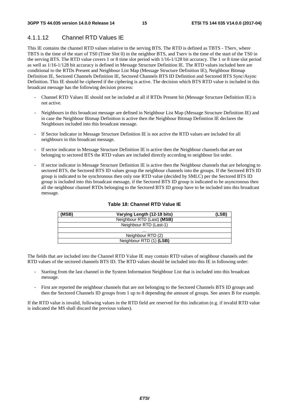## 4.1.1.12 Channel RTD Values IE

This IE contains the channel RTD values relative to the serving BTS. The RTD is defined as TBTS - TServ, where TBTS is the time of the start of TS0 (Time Slot 0) in the neighbor BTS, and Tserv is the time of the start of the TS0 in the serving BTS. The RTD value covers 1 or 8 time slot period with 1/16-1/128 bit accuracy. The 1 or 8 time slot period as well as 1/16-1/128 bit accuracy is defined in Message Structure Definition IE. The RTD values included here are conditional to the RTDs Present and Neighbour List Map (Message Structure Definition IE), Neighbour Bitmap Definition IE, Sectored Channels Definition IE, Sectored Channels BTS ID Definition and Sectored BTS Sync/Async Definition. This IE should be ciphered if the ciphering is active. The decision which BTS RTD value is included in this broadcast message has the following decision process:

- Channel RTD Values IE should not be included at all if RTDs Present bit (Message Structure Definition IE) is not active.
- Neighbours in this broadcast message are defined in Neighbour List Map (Message Structure Definition IE) and in case the Neighbour Bitmap Definition is active then the Neighbour Bitmap Definition IE declares the Neighbours included into this broadcast message.
- If Sector Indicator in Message Structure Definition IE is not active the RTD values are included for all neighbours in this broadcast message.
- If sector indicator in Message Structure Definition IE is active then the Neighbour channels that are not belonging to sectored BTS the RTD values are included directly according to neighbour list order.
- If sector indicator in Message Structure Definition IE is active then the Neighbour channels that are belonging to sectored BTS, the Sectored BTS ID values group the neighbour channels into the groups. If the Sectored BTS ID group is indicated to be synchronous then only one RTD value (decided by SMLC) per the Sectored BTS ID group is included into this broadcast message, if the Sectored BTS ID group is indicated to be asyncronous then all the neighbour channel RTDs belonging to the Sectored BTS ID group have to be included into this broadcast message.

| (MSB) | Varying Length (12-18 bits) | (LSB) |
|-------|-----------------------------|-------|
|       | Neighbour RTD (Last) (MSB)  |       |
|       | Neighbour RTD (Last-1)      |       |
|       | .                           |       |
|       | Neighbour RTD (2)           |       |
|       | Neighbour RTD (1) (LSB)     |       |

#### **Table 18: Channel RTD Value IE**

The fields that are included into the Channel RTD Value IE may contain RTD values of neighbour channels and the RTD values of the sectored channels BTS ID. The RTD values should be included into this IE in following order:

- Starting from the last channel in the System Information Neighbour List that is included into this broadcast message.
- First are reported the neighbour channels that are not belonging to the Sectored Channels BTS ID groups and then the Sectored Channels ID groups from 1 up to 8 depending the amount of groups. See annex B for example.

If the RTD value is invalid, following values in the RTD field are reserved for this indication (e.g. if invalid RTD value is indicated the MS shall discard the previous values).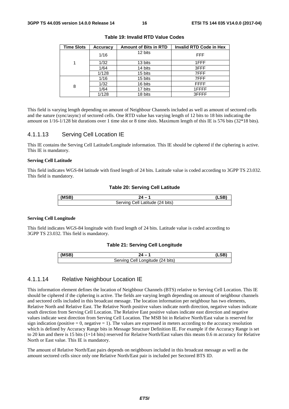| <b>Time Slots</b> | <b>Accuracy</b> | <b>Amount of Bits in RTD</b> | <b>Invalid RTD Code in Hex</b> |
|-------------------|-----------------|------------------------------|--------------------------------|
|                   | 1/16            | 12 bits                      | <b>FFF</b>                     |
| 1                 | 1/32            | 13 bits                      | 1FFF                           |
|                   | 1/64            | 14 bits                      | 3FFF                           |
|                   | 1/128           | 15 bits                      | 7FFF                           |
|                   | 1/16            | 15 bits                      | 7FFF                           |
| 8                 | 1/32            | 16 bits                      | <b>FFFF</b>                    |
|                   | 1/64            | 17 bits                      | 1FFFF                          |
|                   | 1/128           | 18 bits                      | 3FFFF                          |

**Table 19: Invalid RTD Value Codes** 

This field is varying length depending on amount of Neighbour Channels included as well as amount of sectored cells and the nature (sync/async) of sectored cells. One RTD value has varying length of 12 bits to 18 bits indicating the amount on 1/16-1/128 bit durations over 1 time slot or 8 time slots. Maximum length of this IE is 576 bits (32\*18 bits).

### 4.1.1.13 Serving Cell Location IE

This IE contains the Serving Cell Latitude/Longitude information. This IE should be ciphered if the ciphering is active. This IE is mandatory.

#### **Serving Cell Latitude**

This field indicates WGS-84 latitude with fixed length of 24 bits. Latitude value is coded according to 3GPP TS 23.032. This field is mandatory.

#### **Table 20: Serving Cell Latitude**

| (MED) |                                                           |  |
|-------|-----------------------------------------------------------|--|
|       | (24 bits)<br>Servin<br>atitude: `<br>ااه:<br><b>UU.L.</b> |  |

#### **Serving Cell Longitude**

This field indicates WGS-84 longitude with fixed length of 24 bits. Latitude value is coded according to 3GPP TS 23.032. This field is mandatory.

#### **Table 21: Serving Cell Longitude**

| (MSB) |                                                     |  |
|-------|-----------------------------------------------------|--|
|       | <sup>'I</sup> Longitude (24 bits)<br>∩מוות∩<br>اام: |  |

### 4.1.1.14 Relative Neighbour Location IE

This information element defines the location of Neighbour Channels (BTS) relative to Serving Cell Location. This IE should be ciphered if the ciphering is active. The fields are varying length depending on amount of neighbour channels and sectored cells included in this broadcast message. The location information per neighbour has two elements, Relative North and Relative East. The Relative North positive values indicate north direction, negative values indicate south direction from Serving Cell Location. The Relative East positive values indicate east direction and negative values indicate west direction from Serving Cell Location. The MSB bit in Relative North/East value is reserved for sign indication (positive  $= 0$ , negative  $= 1$ ). The values are expressed in meters according to the accuracy resolution which is defined by Accuracy Range bits in Message Structure Definition IE. For example if the Accuracy Range is set to 20 km and there is 15 bits (1+14 bits) reserved for Relative North/East values this means 0.6 m accuracy for Relative North or East value. This IE is mandatory.

The amount of Relative North/East pairs depends on neighbours included in this broadcast message as well as the amount sectored cells since only one Relative North/East pair is included per Sectored BTS ID.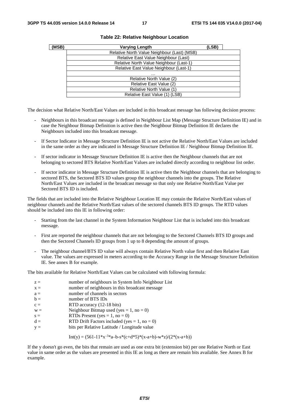| (MSB) | <b>Varying Length</b>                       | (LSB) |  |
|-------|---------------------------------------------|-------|--|
|       | Relative North Value Neighbour (Last) (MSB) |       |  |
|       | Relative East Value Neighbour (Last)        |       |  |
|       | Relative North Value Neighbour (Last-1)     |       |  |
|       | Relative East Value Neighbour (Last-1)      |       |  |
|       | .                                           |       |  |
|       | Relative North Value (2)                    |       |  |
|       | Relative East Value (2)                     |       |  |
|       | Relative North Value (1)                    |       |  |
|       | Relative East Value (1) (LSB)               |       |  |
|       |                                             |       |  |

#### **Table 22: Relative Neighbour Location**

The decision what Relative North/East Values are included in this broadcast message has following decision process:

- Neighbours in this broadcast message is defined in Neighbour List Map (Message Structure Definition IE) and in case the Neighbour Bitmap Definition is active then the Neighbour Bitmap Definition IE declares the Neighbours included into this broadcast message.
- If Sector Indicator in Message Structure Definition IE is not active the Relative North/East Values are included in the same order as they are indicated in Message Structure Definition IE / Neighbour Bitmap Definition IE.
- If sector indicator in Message Structure Definition IE is active then the Neighbour channels that are not belonging to sectored BTS Relative North/East Values are included directly according to neighbour list order.
- If sector indicator in Message Structure Definition IE is active then the Neighbour channels that are belonging to sectored BTS, the Sectored BTS ID values group the neighbour channels into the groups. The Relative North/East Values are included in the broadcast message so that only one Relative North/East Value per Sectored BTS ID is included.

The fields that are included into the Relative Neighbour Location IE may contain the Relative North/East values of neighbour channels and the Relative North/East values of the sectored channels BTS ID groups. The RTD values should be included into this IE in following order:

- Starting from the last channel in the System Information Neighbour List that is included into this broadcast message.
- First are reported the neighbour channels that are not belonging to the Sectored Channels BTS ID groups and then the Sectored Channels ID groups from 1 up to 8 depending the amount of groups.
- The neighbour channel/BTS ID value will always contain Relative North value first and then Relative East value. The values are expressed in meters according to the Accuracy Range in the Message Structure Definition IE. See annex B for example.

The bits available for Relative North/East Values can be calculated with following formula:

| $z =$ | number of neighbours in System Info Neighbour List |
|-------|----------------------------------------------------|
| $x =$ | number of neighbours in this broadcast message     |
| $a =$ | number of channels in sectors                      |
| $b =$ | number of BTS IDs                                  |
| $c =$ | RTD accuracy (12-18 bits)                          |
| $W =$ | Neighbour Bitmap used (yes = 1, no = 0)            |
| $s =$ | RTDs Present (yes = $1$ , no = 0)                  |
| $d =$ | RTD Drift Factors included (yes = 1, no = 0)       |
| $V =$ | bits per Relative Latitude / Longitude value       |

Int(y) = 
$$
(561-11*x^{-3}*a-b-s*(c+d*5)*(x-a+b)-w*z)/(2*(x-a+b))
$$

If the y doesn't go even, the bits that remain are used as one extra bit (extension bit) per one Relative North or East value in same order as the values are presented in this IE as long as there are remain bits available. See Annex B for example.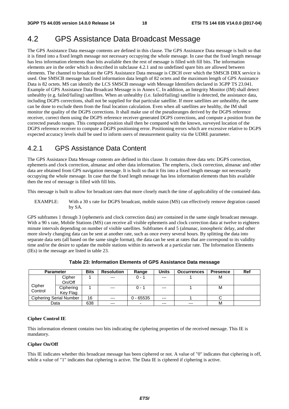## 4.2 GPS Assistance Data Broadcast Message

The GPS Assistance Data message contents are defined in this clause. The GPS Assistance Data message is built so that it is fitted into a fixed length message not necessary occupying the whole message. In case that the fixed length message has less information elements than bits available then the rest of message is filled with fill bits. The information elements are in the order which is described in subclause 4.2.1 and no undefined spare bits are allowed between elements. The channel to broadcast the GPS Assistance Data message is CBCH over which the SMSCB DRX service is used. One SMSCB message has fixed information data length of 82 octets and the maximum length of GPS Assistance Data is 82 octets. MS can identify the LCS SMSCB message with Message Identifiers declared in 3GPP TS 23.041. Example of GPS Assistance Data Broadcast Message is in Annex C. In addition, an Integrity Monitor (IM) shall detect unhealthy (e.g. failed/failing) satellites. When an unhealthy (i.e. failed/failing) satellite is detected, the assistance data, including DGPS corrections, shall not be supplied for that particular satellite. If more satellites are unhealthy, the same can be done to exclude them from the final location calculation. Even when all satellites are healthy, the IM shall monitor the quality of the DGPS corrections. It shall make use of the pseudoranges derived by the DGPS reference receiver, correct them using the DGPS reference receiver-generated DGPS corrections, and compute a position from the corrected pseudo ranges. This computed position shall then be compared with the known, surveyed location of the DGPS reference receiver to compute a DGPS positioning error. Positioning errors which are excessive relative to DGPS expected accuracy levels shall be used to inform users of measurement quality via the UDRE parameter.

## 4.2.1 GPS Assistance Data Content

The GPS Assistance Data Message contents are defined in this clause. It contains three data sets: DGPS correction, ephemeris and clock correction, almanac and other data information. The empheris, clock correction, almanac and other data are obtained from GPS navigation message. It is built so that it fits into a fixed length message not necessarily occupying the whole message. In case that the fixed length message has less information elements than bits available then the rest of message is filled with fill bits.

This message is built to allow for broadcast rates that more closely match the time of applicability of the contained data.

EXAMPLE: With a 30 s rate for DGPS broadcast, mobile staion (MS) can effectively remove degration caused by SA.

GPS subframes 1 through 3 (ephemeris and clock correction data) are contained in the same single broadcast message. With a 90 s rate, Mobile Stations (MS) can receive all visible ephemeris and clock correction data at twelve to eighteen minute intervals depending on number of visible satellites. Subframes 4 and 5 (almanac, ionospheric delay, and other more slowly changing data can be sent at another rate, such as once every several hours. By splitting the data into separate data sets (all based on the same single format), the data can be sent at rates that are correspond to its validity time and/or the desire to update the mobile stations within its network at a particular rate. The Information Elements (IEs) in the message are listed in table 23.

| <b>Parameter</b> |                                | <b>Bits</b> | <b>Resolution</b> | Range       | Units | <b>Occurrences</b> | <b>Presence</b> | Ref |
|------------------|--------------------------------|-------------|-------------------|-------------|-------|--------------------|-----------------|-----|
|                  | Cipher                         |             | $---$             | $0 - 1$     | $---$ |                    | М               |     |
|                  | On/Off                         |             |                   |             |       |                    |                 |     |
| Cipher           | Ciphering                      |             | $---$             | $0 - 1$     | $---$ |                    | M               |     |
| Control          | Key Flag                       |             |                   |             |       |                    |                 |     |
|                  | <b>Ciphering Serial Number</b> | 16          | $---$             | $0 - 65535$ | $---$ |                    |                 |     |
| Data             |                                | 638         | $---$             |             | $---$ | $--$               | M               |     |

| Table 23: Information Elements of GPS Assistance Data message |  |  |  |
|---------------------------------------------------------------|--|--|--|
|---------------------------------------------------------------|--|--|--|

#### **Cipher Control IE**

This information element contains two bits indicating the ciphering properties of the received message. This IE is mandatory.

#### **Cipher On/Off**

This IE indicates whether this broadcast message has been ciphered or not. A value of "0" indicates that ciphering is off, while a value of "1" indicates that ciphering is active. The Data IE is ciphered if ciphering is active.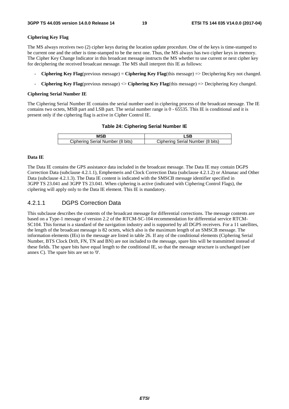#### **Ciphering Key Flag**

The MS always receives two (2) cipher keys during the location update procedure. One of the keys is time-stamped to be current one and the other is time-stamped to be the next one. Thus, the MS always has two cipher keys in memory. The Cipher Key Change Indicator in this broadcast message instructs the MS whether to use current or next cipher key for deciphering the received broadcast message. The MS shall interpret this IE as follows:

- **Ciphering Key Flag**(previous message) = **Ciphering Key Flag**(this message) => Deciphering Key not changed.
- **Ciphering Key Flag**(previous message) <> **Ciphering Key Flag**(this message) => Deciphering Key changed.

#### **Ciphering Serial Number IE**

The Ciphering Serial Number IE contains the serial number used in ciphering process of the broadcast message. The IE contains two octets, MSB part and LSB part. The serial number range is 0 - 65535. This IE is conditional and it is present only if the ciphering flag is active in Cipher Control IE.

#### **Table 24: Ciphering Serial Number IE**

|                                  | .SP                              |
|----------------------------------|----------------------------------|
| Ciphering Serial Number (8 bits) | Ciphering Serial Number (8 bits) |

#### **Data IE**

The Data IE contains the GPS assistance data included in the broadcast message. The Data IE may contain DGPS Correction Data (subclause 4.2.1.1), Emphemeris and Clock Correction Data (subclause 4.2.1.2) or Almanac and Other Data (subclause 4.2.1.3). The Data IE content is indicated with the SMSCB message identifier specified in 3GPP TS 23.041 and 3GPP TS 23.041. When ciphering is active (indicated with Ciphering Control Flags), the ciphering will apply only to the Data IE element. This IE is mandatory.

### 4.2.1.1 DGPS Correction Data

This subclause describes the contents of the broadcast message for differential corrections. The message contents are based on a Type-1 message of version 2.2 of the RTCM-SC-104 recommendation for differential service RTCM-SC104. This format is a standard of the navigation industry and is supported by all DGPS receivers. For a 11 satellites, the length of the broadcast message is 82 octets, which also is the maximum length of an SMSCB message. The information elements (IEs) in the message are listed in table 26. If any of the conditional elements (Ciphering Serial Number, BTS Clock Drift, FN, TN and BN) are not included to the message, spare bits will be transmitted instead of these fields. The spare bits have equal length to the conditional IE, so that the message structure is unchanged (see annex C). The spare bits are set to '0'.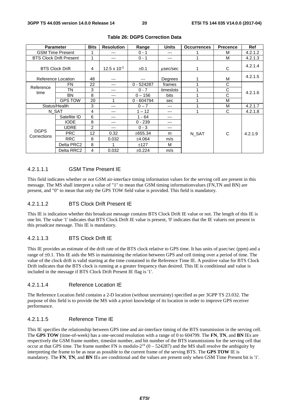| <b>Parameter</b>           |                                | <b>Bits</b> | <b>Resolution</b>     | Range        | <b>Units</b> | <b>Occurrences</b> | <b>Precence</b> | <b>Ref</b> |  |
|----------------------------|--------------------------------|-------------|-----------------------|--------------|--------------|--------------------|-----------------|------------|--|
| <b>GSM Time Present</b>    |                                |             | ---                   | $0 - 1$      | ---          |                    | M               | 4.2.1.2    |  |
|                            | <b>BTS Clock Drift Present</b> | 1           | ---                   | $0 - 1$      | ---          |                    | M               | 4.2.1.3    |  |
|                            | <b>BTS Clock Drift</b>         | 4           | $12.5 \times 10^{-3}$ | ±0.1         | usec/sec     |                    | C               | 4.2.1.4    |  |
|                            | Reference Location             | 48          | ---                   | ---          | Degrees      |                    | M               | 4.2.1.5    |  |
|                            | <b>FN</b>                      | 22          | ---                   | $0 - 524287$ | frames       |                    | C               |            |  |
| Reference<br>time          | TN                             | 3           | ---                   | $0 - 7$      | timeslots    |                    | C               | 4.2.1.6    |  |
|                            | BN                             | 8           | ---                   | $0 - 156$    | bits         |                    | C               |            |  |
|                            | <b>GPS TOW</b>                 | 20          |                       | $0 - 604794$ | sec          |                    | M               |            |  |
| Status/Health              |                                | 3           | ---                   | $0 - 7$      | ---          |                    | M               | 4.2.1.7    |  |
|                            | N SAT                          | 4           | ---                   | $1 - 12$     | ---          | 4                  | C               | 4.2.1.8    |  |
|                            | Satellite ID                   | 6           | ---                   | $1 - 64$     | ---          |                    |                 |            |  |
|                            | <b>IODE</b>                    | 8           | ---                   | $0 - 239$    | ---          |                    |                 |            |  |
|                            | UDRE                           | 2           | ---                   | $0 - 3$      | ---          |                    |                 |            |  |
| <b>DGPS</b><br>Corrections | <b>PRC</b>                     | 12          | 0.32                  | ±655.34      | m            | N_SAT              | C               | 4.2.1.9    |  |
|                            | <b>RRC</b>                     | 8           | 0.032                 | ±4.064       | m/s          |                    |                 |            |  |
|                            | Delta PRC2                     | 8           |                       | ±127         | М            |                    |                 |            |  |
|                            | Delta RRC2                     | 4           | 0.032                 | ±0.224       | m/s          |                    |                 |            |  |

#### **Table 26: DGPS Correction Data**

#### 4.2.1.1.1 GSM Time Present IE

This field indicates whether or not GSM air-interface timing information values for the serving cell are present in this message. The MS shall interpret a value of "1" to mean that GSM timing informationvalues (FN,TN and BN) are present, and "0" to mean that only the GPS TOW field value is provided. This field is mandatory.

#### 4.2.1.1.2 BTS Clock Drift Present IE

This IE is indication whether this broadcast message contains BTS Clock Drift IE value or not. The length of this IE is one bit. The value '1' indicates that BTS Clock Drift IE value is present, '0' indicates that the IE valueis not present in this proadcast message. This IE is mandatory.

### 4.2.1.1.3 BTS Clock Drift IE

This IE provides an estimate of the drift rate of the BTS clock relative to GPS time. It has units of μsec/sec (ppm) and a range of ±0.1. This IE aids the MS in maintaining the relation between GPS and cell timing over a period of time. The value of the clock drift is valid starting at the time contained in the Reference Time IE. A positive value for BTS Clock Drift indicates that the BTS clock is running at a greater frequency than desired. This IE is conditional and value is included in the message if BTS Clock Drift Present IE flag is '1'.

#### 4.2.1.1.4 Reference Location IE

The Reference Location field contains a 2-D location (without uncertainty) specified as per 3GPP TS 23.032. The purpose of this field is to provide the MS with a priori knowledge of its location in order to improve GPS receiver performance.

### 4.2.1.1.5 Reference Time IE

This IE specifies the relationship between GPS time and air-interface timing of the BTS transmission in the serving cell. The **GPS TOW** (time-of-week) has a one-second resolution with a range of 0 to 604799. The **FN**, **TN**, and **BN** IEs are respectively the GSM frame number, timeslot number, and bit number of the BTS transmissions for the serving cell that occur at that GPS time. The frame number FN is modulo- $2^{19}$  (0 – 524287) and the MS shall resolve the ambiguity by interpreting the frame to be as near as possible to the current frame of the serving BTS. The **GPS TOW** IE is mandatory. The **FN**, **TN**, and **BN** IEs are conditional and the values are present only when GSM Time Present bit is '1'.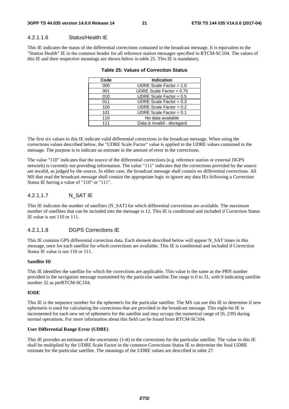#### 4.2.1.1.6 Status/Health IE

This IE indicates the status of the differential corrections contained in the broadcast message. It is equivalent to the "Station Health" IE in the common header for all reference station messages specified in RTCM-SC104. The values of this IE and their respective meanings are shown below in table 25. This IE is mandatory.

| Code | <b>Indication</b>           |
|------|-----------------------------|
| 000  | UDRE Scale Factor = $1.0$   |
| 001  | UDRE Scale Factor = $0.75$  |
| 010  | UDRE Scale Factor = $0.5$   |
| 011  | UDRE Scale Factor = $0.3$   |
| 100  | UDRE Scale Factor = $0.2$   |
| 101  | UDRE Scale Factor = $0.1$   |
| 110  | No data available           |
| 111  | Data is invalid - disregard |
|      |                             |

#### **Table 25: Values of Correction Status**

The first six values in this IE indicate valid differential corrections in the broadcast message. When using the corrections values described below, the "UDRE Scale Factor" value is applied to the UDRE values contained in the message. The purpose is to indicate an estimate in the amount of error in the corrections.

The value "110" indicates that the source of the differential corrections (e.g. reference station or external DGPS network) is currently not providing information. The value "111" indicates that the corrections provided by the source are invalid, as judged by the source. In either case, the broadcast message shall contain no differential corrections. All MS that read the broadcast message shall contain the appropriate logic to ignore any data IEs following a Correction Status IE having a value of "110" or "111".

### 4.2.1.1.7 N\_SAT IE

This IE indicates the number of satellites (N\_SAT) for which differential corrections are available. The maximum number of satellites that can be included into the message is 12. This IE is conditional and included if Correction Status IE value is not 110 or 111.

#### 4.2.1.1.8 DGPS Corrections IE

This IE contains GPS differential correction data. Each element described below will appear N\_SAT times in this message, once for each satellite for which corrections are available. This IE is conditional and included if Correction Status IE value is not 110 or 111.

#### **Satellite ID**

This IE identifies the satellite for which the corrections are applicable. This value is the same as the PRN number provided in the navigation message transmitted by the particular satellite.The range is 0 to 31, with 0 indicating satellite number 32 as perRTCM-SC104.

#### **IODE**

This IE is the sequence number for the ephemeris for the particular satellite. The MS can use this IE to determine if new ephemeris is used for calculating the corrections that are provided in the broadcast message. This eight-bit IE is incremented for each new set of ephemeris for the satellite and may occupy the numerical range of [0, 239] during normal operations. For more information about this field can be found from RTCM-SC104.

#### **User Differential Range Error (UDRE)**

This IE provides an estimate of the uncertainty  $(1-\sigma)$  in the corrections for the particular satellite. The value in this IE shall be multiplied by the UDRE Scale Factor in the common Corrections Status IE to determine the final UDRE estimate for the particular satellite. The meanings of the UDRE values are described in table 27.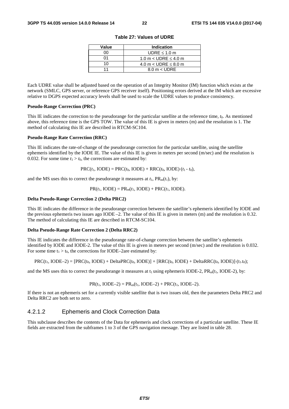| Value | <b>Indication</b>             |
|-------|-------------------------------|
| იი    | UDRE $\leq 1.0$ m             |
| ሰ1    | 1.0 m < UDRE $\leq$ 4.0 m     |
| 10    | 4.0 m < UDRE $\leq$ 8.0 m     |
|       | $8.0 \text{ m} < \text{UDRE}$ |

**Table 27: Values of UDRE** 

Each UDRE value shall be adjusted based on the operation of an Integrity Monitor (IM) function which exists at the network (SMLC, GPS server, or reference GPS receiver itself). Positioning errors derived at the IM which are excessive relative to DGPS expected accuracy levels shall be used to scale the UDRE values to produce consistency.

#### **Pseudo-Range Correction (PRC)**

This IE indicates the correction to the pseudorange for the particular satellite at the reference time, *t*0. As mentioned above, this reference time is the GPS TOW. The value of this IE is given in meters (m) and the resolution is 1. The method of calculating this IE are described in RTCM-SC104.

#### **Pseudo-Range Rate Correction (RRC)**

This IE indicates the rate-of-change of the pseudorange correction for the particular satellite, using the satellite ephemeris identified by the IODE IE. The value of this IE is given in meters per second (m/sec) and the resolution is 0.032. For some time  $t_1 > t_0$ , the corrections are estimated by:

 $PRC(t_1, IODE) = PRC(t_0, IODE) + RRC(t_0, IODE) \cdot (t_1 - t_0),$ 

and the MS uses this to correct the pseudorange it measures at  $t_1$ ,  $PR_m(t_1)$ , by:

 $PR(t_1, \text{IODE}) = PR_m(t_1, \text{IODE}) + PRC(t_1, \text{IODE}).$ 

#### **Delta Pseudo-Range Correction 2 (Delta PRC2)**

This IE indicates the difference in the pseudorange correction between the satellite's ephemeris identified by IODE and the previous ephemeris two issues ago IODE –2. The value of this IE is given in meters (m) and the resolution is 0.32. The method of calculating this IE are described in RTCM-SC104.

#### **Delta Pseudo-Range Rate Correction 2 (Delta RRC2)**

This IE indicates the difference in the pseudorange rate-of-change correction between the satellite's ephemeris identified by IODE and IODE-2. The value of this IE is given in meters per second (m/sec) and the resolution is 0.032. For some time  $t_1 > t_0$ , the corrections for IODE–2are estimated by:

$$
PRC(t_1, \text{IODE-2}) = [PRC(t_0, \text{IODE}) + \text{Delta}PRC(t_0, \text{IODE})] + [RRC(t_0, \text{IODE}) + \text{Delta}RRC(t_0, \text{IODE}) + (t_1, t_0);
$$

and the MS uses this to correct the pseudorange it measures at  $t_1$  using ephemeris IODE-2,  $PR_m(t_1, IODE-2)$ , by:

$$
PR(t_1, \text{IODE-2}) = PR_m(t_1, \text{IODE-2}) + PRC(t_1, \text{IODE-2}).
$$

If there is not an ephemeris set for a currently visible satellite that is two issues old, then the parameters Delta PRC2 and Delta RRC2 are both set to zero.

## 4.2.1.2 Ephemeris and Clock Correction Data

This subclause describes the contents of the Data for ephemeris and clock corrections of a particular satellite. These IE fields are extracted from the subframes 1 to 3 of the GPS navigation message. They are listed in table 28.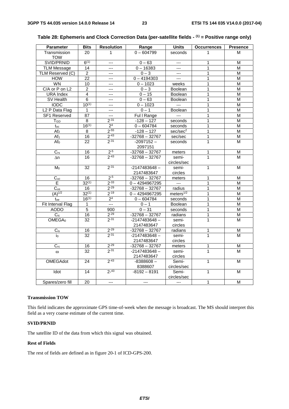| $0 - 604799$<br>20<br>Transmission<br>1<br>seconds<br>1<br>м<br><b>TOW</b><br>$6^{(1)}$<br>SVID/PRNID<br>$0 - 63$<br>M<br>1<br>---<br>---<br>1<br><b>TLM Message</b><br>$0 - 16383$<br>M<br>14<br>$---$<br>$---$<br>TLM Reserved (C)<br>$\overline{2}$<br>$0 - 3$<br>1<br>М<br>$\overline{a}$<br>---<br>$\overline{22}$<br><b>HOW</b><br>$0 - 4194303$<br>1<br>M<br>$---$<br>$\overline{a}$<br>WN<br>$0 - 1023$<br>1<br>M<br>10<br>weeks<br>---<br>1<br>C/A or P on L2<br>$\overline{c}$<br>M<br>$0 - 3$<br>Boolean<br>---<br><b>URA</b> Index<br>4<br>$0 - 15$<br>1<br>Boolean<br>М<br>$---$<br>SV Health<br>6<br>$0 - 63$<br>1<br>M<br><b>Boolean</b><br>---<br>$10^{(1)}$<br>$\overline{1}$<br><b>IODC</b><br>$0 - 1023$<br>M<br>$\sim$<br>---<br>$0 - 1$<br>1<br>L <sub>2</sub> P Data Flag<br>1<br>Boolean<br>M<br>---<br>SF1 Reserved<br>87<br>Ful I Range<br>$\overline{a}$<br>1<br>M<br>$\overline{a}$<br>$2 - 31$<br>8<br>$-128 - 127$<br>1<br>M<br>T <sub>GD</sub><br>seconds<br>2 <sup>4</sup><br>$16^{(1)}$<br>$0 - 604784$<br>1<br>M<br>seconds<br>$t_{oc}$<br>$2 - 55$<br>Af <sub>2</sub><br>$-128 - 127$<br>sec/sec <sup>2</sup><br>1<br>M<br>8<br>$2 - 43$<br>$-32768 - 32767$<br>$\mathbf{1}$<br>Af <sub>1</sub><br>16<br>M<br>sec/sec<br>$2 - 31$<br>22<br>$-2097152-$<br>1<br>$Af_0$<br>seconds<br>М<br>2097151<br>$2 - 5$<br>$\overline{C_{rs}}$<br>$-32768 - 32767$<br>16<br>1<br>M<br>meters<br>$2^{-43}$<br>$-32768 - 32767$<br>16<br>semi-<br>1<br>M<br>$\Delta n$<br>circles/sec<br>$2 - 31$<br>Mo<br>$-2147483648 -$<br>M<br>32<br>semi-<br>$\mathbf{1}$<br>2147483647<br>circles<br>$2 - 5$<br>$-32768 - 32767$<br>1<br>M<br>$C_{uc}$<br>16<br>meters<br>$2 - 33$<br>$32^{(1)}$<br>$\mathbf{1}$<br>$\overline{\mathsf{M}}$<br>E<br>$0 - 4294967295$<br>$\overline{a}$<br>$2 - 29$<br>$-32768 - 32767$<br>$\overline{C}_{us}$<br>16<br>radius<br>1<br>$\overline{M}$<br>$(A)^{1/2}$<br>$2 - 19$<br>$32^{(1)}$<br>meters <sup>1/2</sup><br>$0 - 4294967295$<br>1<br>M<br>2 <sup>4</sup><br>$16^{(1)}$<br>$\mathbf{1}$<br>$0 - 604784$<br>M<br>seconds<br>toe<br>$\overline{1}$<br>Fit Interval Flag<br>$\mathbf{1}$<br>---<br>$0 - 1$<br>Boolean<br>M<br>$\overline{5}$<br>1<br><b>AODO</b><br>900<br>$0 - 31$<br>M<br>seconds<br>$2 - 29$<br>$\overline{16}$<br>$-32768 - 32767$<br>1<br>$\overline{\mathsf{M}}$<br>radians<br>$C_{ic}$<br>$2 - 31$<br>OMEGA <sub>0</sub><br>$\overline{32}$<br>$\mathbf{1}$<br>$-2147483648 -$<br>M<br>semi-<br>2147483647<br>circles<br>$2 - 29$<br>$-32768 - 32767$<br>$C_{is}$<br>16<br>radians<br>1<br>M<br>$2 - 31$<br>$\overline{32}$<br>1<br>$-2147483648 -$<br>semi-<br>м<br>io<br>2147483647<br>circles<br>$2 - 29$<br>$C_{rc}$<br>16<br>$-32768 - 32767$<br>1<br>meters<br>M<br>$2 - 31$<br>1<br>$\overline{32}$<br>$\overline{\mathsf{M}}$<br>$-2147483648 -$<br>semi-<br>$\omega$<br>2147483647<br>circles<br>$2 - 43$<br>OMEGAdot<br>Semi-<br>M<br>24<br>$-8388608-$<br>$\mathbf{1}$<br>8388607<br>circles/sec<br>$2 - 43$<br>$-8192 - 8191$<br>$\mathbf{1}$<br>Idot<br>14<br>Semi-<br>M<br>circles/sec<br>$\overline{1}$<br>Spares/zero fill<br>20<br>$\overline{a}$<br>M<br>$\overline{a}$<br>$\cdots$ | Parameter | <b>Bits</b><br><b>Resolution</b><br>Range |  | <b>Units</b> | <b>Occurrences</b> | <b>Presence</b> |  |
|----------------------------------------------------------------------------------------------------------------------------------------------------------------------------------------------------------------------------------------------------------------------------------------------------------------------------------------------------------------------------------------------------------------------------------------------------------------------------------------------------------------------------------------------------------------------------------------------------------------------------------------------------------------------------------------------------------------------------------------------------------------------------------------------------------------------------------------------------------------------------------------------------------------------------------------------------------------------------------------------------------------------------------------------------------------------------------------------------------------------------------------------------------------------------------------------------------------------------------------------------------------------------------------------------------------------------------------------------------------------------------------------------------------------------------------------------------------------------------------------------------------------------------------------------------------------------------------------------------------------------------------------------------------------------------------------------------------------------------------------------------------------------------------------------------------------------------------------------------------------------------------------------------------------------------------------------------------------------------------------------------------------------------------------------------------------------------------------------------------------------------------------------------------------------------------------------------------------------------------------------------------------------------------------------------------------------------------------------------------------------------------------------------------------------------------------------------------------------------------------------------------------------------------------------------------------------------------------------------------------------------------------------------------------------------------------------------------------------------------------------------------------------------------------------------------------------------------------------------------------------------------------------------------------------------------------------------------------------------------------------------------------------------------------------------------------------------------------------------------------------------------------------------------------------------|-----------|-------------------------------------------|--|--------------|--------------------|-----------------|--|
|                                                                                                                                                                                                                                                                                                                                                                                                                                                                                                                                                                                                                                                                                                                                                                                                                                                                                                                                                                                                                                                                                                                                                                                                                                                                                                                                                                                                                                                                                                                                                                                                                                                                                                                                                                                                                                                                                                                                                                                                                                                                                                                                                                                                                                                                                                                                                                                                                                                                                                                                                                                                                                                                                                                                                                                                                                                                                                                                                                                                                                                                                                                                                                                  |           |                                           |  |              |                    |                 |  |
|                                                                                                                                                                                                                                                                                                                                                                                                                                                                                                                                                                                                                                                                                                                                                                                                                                                                                                                                                                                                                                                                                                                                                                                                                                                                                                                                                                                                                                                                                                                                                                                                                                                                                                                                                                                                                                                                                                                                                                                                                                                                                                                                                                                                                                                                                                                                                                                                                                                                                                                                                                                                                                                                                                                                                                                                                                                                                                                                                                                                                                                                                                                                                                                  |           |                                           |  |              |                    |                 |  |
|                                                                                                                                                                                                                                                                                                                                                                                                                                                                                                                                                                                                                                                                                                                                                                                                                                                                                                                                                                                                                                                                                                                                                                                                                                                                                                                                                                                                                                                                                                                                                                                                                                                                                                                                                                                                                                                                                                                                                                                                                                                                                                                                                                                                                                                                                                                                                                                                                                                                                                                                                                                                                                                                                                                                                                                                                                                                                                                                                                                                                                                                                                                                                                                  |           |                                           |  |              |                    |                 |  |
|                                                                                                                                                                                                                                                                                                                                                                                                                                                                                                                                                                                                                                                                                                                                                                                                                                                                                                                                                                                                                                                                                                                                                                                                                                                                                                                                                                                                                                                                                                                                                                                                                                                                                                                                                                                                                                                                                                                                                                                                                                                                                                                                                                                                                                                                                                                                                                                                                                                                                                                                                                                                                                                                                                                                                                                                                                                                                                                                                                                                                                                                                                                                                                                  |           |                                           |  |              |                    |                 |  |
|                                                                                                                                                                                                                                                                                                                                                                                                                                                                                                                                                                                                                                                                                                                                                                                                                                                                                                                                                                                                                                                                                                                                                                                                                                                                                                                                                                                                                                                                                                                                                                                                                                                                                                                                                                                                                                                                                                                                                                                                                                                                                                                                                                                                                                                                                                                                                                                                                                                                                                                                                                                                                                                                                                                                                                                                                                                                                                                                                                                                                                                                                                                                                                                  |           |                                           |  |              |                    |                 |  |
|                                                                                                                                                                                                                                                                                                                                                                                                                                                                                                                                                                                                                                                                                                                                                                                                                                                                                                                                                                                                                                                                                                                                                                                                                                                                                                                                                                                                                                                                                                                                                                                                                                                                                                                                                                                                                                                                                                                                                                                                                                                                                                                                                                                                                                                                                                                                                                                                                                                                                                                                                                                                                                                                                                                                                                                                                                                                                                                                                                                                                                                                                                                                                                                  |           |                                           |  |              |                    |                 |  |
|                                                                                                                                                                                                                                                                                                                                                                                                                                                                                                                                                                                                                                                                                                                                                                                                                                                                                                                                                                                                                                                                                                                                                                                                                                                                                                                                                                                                                                                                                                                                                                                                                                                                                                                                                                                                                                                                                                                                                                                                                                                                                                                                                                                                                                                                                                                                                                                                                                                                                                                                                                                                                                                                                                                                                                                                                                                                                                                                                                                                                                                                                                                                                                                  |           |                                           |  |              |                    |                 |  |
|                                                                                                                                                                                                                                                                                                                                                                                                                                                                                                                                                                                                                                                                                                                                                                                                                                                                                                                                                                                                                                                                                                                                                                                                                                                                                                                                                                                                                                                                                                                                                                                                                                                                                                                                                                                                                                                                                                                                                                                                                                                                                                                                                                                                                                                                                                                                                                                                                                                                                                                                                                                                                                                                                                                                                                                                                                                                                                                                                                                                                                                                                                                                                                                  |           |                                           |  |              |                    |                 |  |
|                                                                                                                                                                                                                                                                                                                                                                                                                                                                                                                                                                                                                                                                                                                                                                                                                                                                                                                                                                                                                                                                                                                                                                                                                                                                                                                                                                                                                                                                                                                                                                                                                                                                                                                                                                                                                                                                                                                                                                                                                                                                                                                                                                                                                                                                                                                                                                                                                                                                                                                                                                                                                                                                                                                                                                                                                                                                                                                                                                                                                                                                                                                                                                                  |           |                                           |  |              |                    |                 |  |
|                                                                                                                                                                                                                                                                                                                                                                                                                                                                                                                                                                                                                                                                                                                                                                                                                                                                                                                                                                                                                                                                                                                                                                                                                                                                                                                                                                                                                                                                                                                                                                                                                                                                                                                                                                                                                                                                                                                                                                                                                                                                                                                                                                                                                                                                                                                                                                                                                                                                                                                                                                                                                                                                                                                                                                                                                                                                                                                                                                                                                                                                                                                                                                                  |           |                                           |  |              |                    |                 |  |
|                                                                                                                                                                                                                                                                                                                                                                                                                                                                                                                                                                                                                                                                                                                                                                                                                                                                                                                                                                                                                                                                                                                                                                                                                                                                                                                                                                                                                                                                                                                                                                                                                                                                                                                                                                                                                                                                                                                                                                                                                                                                                                                                                                                                                                                                                                                                                                                                                                                                                                                                                                                                                                                                                                                                                                                                                                                                                                                                                                                                                                                                                                                                                                                  |           |                                           |  |              |                    |                 |  |
|                                                                                                                                                                                                                                                                                                                                                                                                                                                                                                                                                                                                                                                                                                                                                                                                                                                                                                                                                                                                                                                                                                                                                                                                                                                                                                                                                                                                                                                                                                                                                                                                                                                                                                                                                                                                                                                                                                                                                                                                                                                                                                                                                                                                                                                                                                                                                                                                                                                                                                                                                                                                                                                                                                                                                                                                                                                                                                                                                                                                                                                                                                                                                                                  |           |                                           |  |              |                    |                 |  |
|                                                                                                                                                                                                                                                                                                                                                                                                                                                                                                                                                                                                                                                                                                                                                                                                                                                                                                                                                                                                                                                                                                                                                                                                                                                                                                                                                                                                                                                                                                                                                                                                                                                                                                                                                                                                                                                                                                                                                                                                                                                                                                                                                                                                                                                                                                                                                                                                                                                                                                                                                                                                                                                                                                                                                                                                                                                                                                                                                                                                                                                                                                                                                                                  |           |                                           |  |              |                    |                 |  |
|                                                                                                                                                                                                                                                                                                                                                                                                                                                                                                                                                                                                                                                                                                                                                                                                                                                                                                                                                                                                                                                                                                                                                                                                                                                                                                                                                                                                                                                                                                                                                                                                                                                                                                                                                                                                                                                                                                                                                                                                                                                                                                                                                                                                                                                                                                                                                                                                                                                                                                                                                                                                                                                                                                                                                                                                                                                                                                                                                                                                                                                                                                                                                                                  |           |                                           |  |              |                    |                 |  |
|                                                                                                                                                                                                                                                                                                                                                                                                                                                                                                                                                                                                                                                                                                                                                                                                                                                                                                                                                                                                                                                                                                                                                                                                                                                                                                                                                                                                                                                                                                                                                                                                                                                                                                                                                                                                                                                                                                                                                                                                                                                                                                                                                                                                                                                                                                                                                                                                                                                                                                                                                                                                                                                                                                                                                                                                                                                                                                                                                                                                                                                                                                                                                                                  |           |                                           |  |              |                    |                 |  |
|                                                                                                                                                                                                                                                                                                                                                                                                                                                                                                                                                                                                                                                                                                                                                                                                                                                                                                                                                                                                                                                                                                                                                                                                                                                                                                                                                                                                                                                                                                                                                                                                                                                                                                                                                                                                                                                                                                                                                                                                                                                                                                                                                                                                                                                                                                                                                                                                                                                                                                                                                                                                                                                                                                                                                                                                                                                                                                                                                                                                                                                                                                                                                                                  |           |                                           |  |              |                    |                 |  |
|                                                                                                                                                                                                                                                                                                                                                                                                                                                                                                                                                                                                                                                                                                                                                                                                                                                                                                                                                                                                                                                                                                                                                                                                                                                                                                                                                                                                                                                                                                                                                                                                                                                                                                                                                                                                                                                                                                                                                                                                                                                                                                                                                                                                                                                                                                                                                                                                                                                                                                                                                                                                                                                                                                                                                                                                                                                                                                                                                                                                                                                                                                                                                                                  |           |                                           |  |              |                    |                 |  |
|                                                                                                                                                                                                                                                                                                                                                                                                                                                                                                                                                                                                                                                                                                                                                                                                                                                                                                                                                                                                                                                                                                                                                                                                                                                                                                                                                                                                                                                                                                                                                                                                                                                                                                                                                                                                                                                                                                                                                                                                                                                                                                                                                                                                                                                                                                                                                                                                                                                                                                                                                                                                                                                                                                                                                                                                                                                                                                                                                                                                                                                                                                                                                                                  |           |                                           |  |              |                    |                 |  |
|                                                                                                                                                                                                                                                                                                                                                                                                                                                                                                                                                                                                                                                                                                                                                                                                                                                                                                                                                                                                                                                                                                                                                                                                                                                                                                                                                                                                                                                                                                                                                                                                                                                                                                                                                                                                                                                                                                                                                                                                                                                                                                                                                                                                                                                                                                                                                                                                                                                                                                                                                                                                                                                                                                                                                                                                                                                                                                                                                                                                                                                                                                                                                                                  |           |                                           |  |              |                    |                 |  |
|                                                                                                                                                                                                                                                                                                                                                                                                                                                                                                                                                                                                                                                                                                                                                                                                                                                                                                                                                                                                                                                                                                                                                                                                                                                                                                                                                                                                                                                                                                                                                                                                                                                                                                                                                                                                                                                                                                                                                                                                                                                                                                                                                                                                                                                                                                                                                                                                                                                                                                                                                                                                                                                                                                                                                                                                                                                                                                                                                                                                                                                                                                                                                                                  |           |                                           |  |              |                    |                 |  |
|                                                                                                                                                                                                                                                                                                                                                                                                                                                                                                                                                                                                                                                                                                                                                                                                                                                                                                                                                                                                                                                                                                                                                                                                                                                                                                                                                                                                                                                                                                                                                                                                                                                                                                                                                                                                                                                                                                                                                                                                                                                                                                                                                                                                                                                                                                                                                                                                                                                                                                                                                                                                                                                                                                                                                                                                                                                                                                                                                                                                                                                                                                                                                                                  |           |                                           |  |              |                    |                 |  |
|                                                                                                                                                                                                                                                                                                                                                                                                                                                                                                                                                                                                                                                                                                                                                                                                                                                                                                                                                                                                                                                                                                                                                                                                                                                                                                                                                                                                                                                                                                                                                                                                                                                                                                                                                                                                                                                                                                                                                                                                                                                                                                                                                                                                                                                                                                                                                                                                                                                                                                                                                                                                                                                                                                                                                                                                                                                                                                                                                                                                                                                                                                                                                                                  |           |                                           |  |              |                    |                 |  |
|                                                                                                                                                                                                                                                                                                                                                                                                                                                                                                                                                                                                                                                                                                                                                                                                                                                                                                                                                                                                                                                                                                                                                                                                                                                                                                                                                                                                                                                                                                                                                                                                                                                                                                                                                                                                                                                                                                                                                                                                                                                                                                                                                                                                                                                                                                                                                                                                                                                                                                                                                                                                                                                                                                                                                                                                                                                                                                                                                                                                                                                                                                                                                                                  |           |                                           |  |              |                    |                 |  |
|                                                                                                                                                                                                                                                                                                                                                                                                                                                                                                                                                                                                                                                                                                                                                                                                                                                                                                                                                                                                                                                                                                                                                                                                                                                                                                                                                                                                                                                                                                                                                                                                                                                                                                                                                                                                                                                                                                                                                                                                                                                                                                                                                                                                                                                                                                                                                                                                                                                                                                                                                                                                                                                                                                                                                                                                                                                                                                                                                                                                                                                                                                                                                                                  |           |                                           |  |              |                    |                 |  |
|                                                                                                                                                                                                                                                                                                                                                                                                                                                                                                                                                                                                                                                                                                                                                                                                                                                                                                                                                                                                                                                                                                                                                                                                                                                                                                                                                                                                                                                                                                                                                                                                                                                                                                                                                                                                                                                                                                                                                                                                                                                                                                                                                                                                                                                                                                                                                                                                                                                                                                                                                                                                                                                                                                                                                                                                                                                                                                                                                                                                                                                                                                                                                                                  |           |                                           |  |              |                    |                 |  |
|                                                                                                                                                                                                                                                                                                                                                                                                                                                                                                                                                                                                                                                                                                                                                                                                                                                                                                                                                                                                                                                                                                                                                                                                                                                                                                                                                                                                                                                                                                                                                                                                                                                                                                                                                                                                                                                                                                                                                                                                                                                                                                                                                                                                                                                                                                                                                                                                                                                                                                                                                                                                                                                                                                                                                                                                                                                                                                                                                                                                                                                                                                                                                                                  |           |                                           |  |              |                    |                 |  |
|                                                                                                                                                                                                                                                                                                                                                                                                                                                                                                                                                                                                                                                                                                                                                                                                                                                                                                                                                                                                                                                                                                                                                                                                                                                                                                                                                                                                                                                                                                                                                                                                                                                                                                                                                                                                                                                                                                                                                                                                                                                                                                                                                                                                                                                                                                                                                                                                                                                                                                                                                                                                                                                                                                                                                                                                                                                                                                                                                                                                                                                                                                                                                                                  |           |                                           |  |              |                    |                 |  |
|                                                                                                                                                                                                                                                                                                                                                                                                                                                                                                                                                                                                                                                                                                                                                                                                                                                                                                                                                                                                                                                                                                                                                                                                                                                                                                                                                                                                                                                                                                                                                                                                                                                                                                                                                                                                                                                                                                                                                                                                                                                                                                                                                                                                                                                                                                                                                                                                                                                                                                                                                                                                                                                                                                                                                                                                                                                                                                                                                                                                                                                                                                                                                                                  |           |                                           |  |              |                    |                 |  |
|                                                                                                                                                                                                                                                                                                                                                                                                                                                                                                                                                                                                                                                                                                                                                                                                                                                                                                                                                                                                                                                                                                                                                                                                                                                                                                                                                                                                                                                                                                                                                                                                                                                                                                                                                                                                                                                                                                                                                                                                                                                                                                                                                                                                                                                                                                                                                                                                                                                                                                                                                                                                                                                                                                                                                                                                                                                                                                                                                                                                                                                                                                                                                                                  |           |                                           |  |              |                    |                 |  |
|                                                                                                                                                                                                                                                                                                                                                                                                                                                                                                                                                                                                                                                                                                                                                                                                                                                                                                                                                                                                                                                                                                                                                                                                                                                                                                                                                                                                                                                                                                                                                                                                                                                                                                                                                                                                                                                                                                                                                                                                                                                                                                                                                                                                                                                                                                                                                                                                                                                                                                                                                                                                                                                                                                                                                                                                                                                                                                                                                                                                                                                                                                                                                                                  |           |                                           |  |              |                    |                 |  |
|                                                                                                                                                                                                                                                                                                                                                                                                                                                                                                                                                                                                                                                                                                                                                                                                                                                                                                                                                                                                                                                                                                                                                                                                                                                                                                                                                                                                                                                                                                                                                                                                                                                                                                                                                                                                                                                                                                                                                                                                                                                                                                                                                                                                                                                                                                                                                                                                                                                                                                                                                                                                                                                                                                                                                                                                                                                                                                                                                                                                                                                                                                                                                                                  |           |                                           |  |              |                    |                 |  |
|                                                                                                                                                                                                                                                                                                                                                                                                                                                                                                                                                                                                                                                                                                                                                                                                                                                                                                                                                                                                                                                                                                                                                                                                                                                                                                                                                                                                                                                                                                                                                                                                                                                                                                                                                                                                                                                                                                                                                                                                                                                                                                                                                                                                                                                                                                                                                                                                                                                                                                                                                                                                                                                                                                                                                                                                                                                                                                                                                                                                                                                                                                                                                                                  |           |                                           |  |              |                    |                 |  |
|                                                                                                                                                                                                                                                                                                                                                                                                                                                                                                                                                                                                                                                                                                                                                                                                                                                                                                                                                                                                                                                                                                                                                                                                                                                                                                                                                                                                                                                                                                                                                                                                                                                                                                                                                                                                                                                                                                                                                                                                                                                                                                                                                                                                                                                                                                                                                                                                                                                                                                                                                                                                                                                                                                                                                                                                                                                                                                                                                                                                                                                                                                                                                                                  |           |                                           |  |              |                    |                 |  |
|                                                                                                                                                                                                                                                                                                                                                                                                                                                                                                                                                                                                                                                                                                                                                                                                                                                                                                                                                                                                                                                                                                                                                                                                                                                                                                                                                                                                                                                                                                                                                                                                                                                                                                                                                                                                                                                                                                                                                                                                                                                                                                                                                                                                                                                                                                                                                                                                                                                                                                                                                                                                                                                                                                                                                                                                                                                                                                                                                                                                                                                                                                                                                                                  |           |                                           |  |              |                    |                 |  |
|                                                                                                                                                                                                                                                                                                                                                                                                                                                                                                                                                                                                                                                                                                                                                                                                                                                                                                                                                                                                                                                                                                                                                                                                                                                                                                                                                                                                                                                                                                                                                                                                                                                                                                                                                                                                                                                                                                                                                                                                                                                                                                                                                                                                                                                                                                                                                                                                                                                                                                                                                                                                                                                                                                                                                                                                                                                                                                                                                                                                                                                                                                                                                                                  |           |                                           |  |              |                    |                 |  |
|                                                                                                                                                                                                                                                                                                                                                                                                                                                                                                                                                                                                                                                                                                                                                                                                                                                                                                                                                                                                                                                                                                                                                                                                                                                                                                                                                                                                                                                                                                                                                                                                                                                                                                                                                                                                                                                                                                                                                                                                                                                                                                                                                                                                                                                                                                                                                                                                                                                                                                                                                                                                                                                                                                                                                                                                                                                                                                                                                                                                                                                                                                                                                                                  |           |                                           |  |              |                    |                 |  |
|                                                                                                                                                                                                                                                                                                                                                                                                                                                                                                                                                                                                                                                                                                                                                                                                                                                                                                                                                                                                                                                                                                                                                                                                                                                                                                                                                                                                                                                                                                                                                                                                                                                                                                                                                                                                                                                                                                                                                                                                                                                                                                                                                                                                                                                                                                                                                                                                                                                                                                                                                                                                                                                                                                                                                                                                                                                                                                                                                                                                                                                                                                                                                                                  |           |                                           |  |              |                    |                 |  |
|                                                                                                                                                                                                                                                                                                                                                                                                                                                                                                                                                                                                                                                                                                                                                                                                                                                                                                                                                                                                                                                                                                                                                                                                                                                                                                                                                                                                                                                                                                                                                                                                                                                                                                                                                                                                                                                                                                                                                                                                                                                                                                                                                                                                                                                                                                                                                                                                                                                                                                                                                                                                                                                                                                                                                                                                                                                                                                                                                                                                                                                                                                                                                                                  |           |                                           |  |              |                    |                 |  |
|                                                                                                                                                                                                                                                                                                                                                                                                                                                                                                                                                                                                                                                                                                                                                                                                                                                                                                                                                                                                                                                                                                                                                                                                                                                                                                                                                                                                                                                                                                                                                                                                                                                                                                                                                                                                                                                                                                                                                                                                                                                                                                                                                                                                                                                                                                                                                                                                                                                                                                                                                                                                                                                                                                                                                                                                                                                                                                                                                                                                                                                                                                                                                                                  |           |                                           |  |              |                    |                 |  |
|                                                                                                                                                                                                                                                                                                                                                                                                                                                                                                                                                                                                                                                                                                                                                                                                                                                                                                                                                                                                                                                                                                                                                                                                                                                                                                                                                                                                                                                                                                                                                                                                                                                                                                                                                                                                                                                                                                                                                                                                                                                                                                                                                                                                                                                                                                                                                                                                                                                                                                                                                                                                                                                                                                                                                                                                                                                                                                                                                                                                                                                                                                                                                                                  |           |                                           |  |              |                    |                 |  |
|                                                                                                                                                                                                                                                                                                                                                                                                                                                                                                                                                                                                                                                                                                                                                                                                                                                                                                                                                                                                                                                                                                                                                                                                                                                                                                                                                                                                                                                                                                                                                                                                                                                                                                                                                                                                                                                                                                                                                                                                                                                                                                                                                                                                                                                                                                                                                                                                                                                                                                                                                                                                                                                                                                                                                                                                                                                                                                                                                                                                                                                                                                                                                                                  |           |                                           |  |              |                    |                 |  |
|                                                                                                                                                                                                                                                                                                                                                                                                                                                                                                                                                                                                                                                                                                                                                                                                                                                                                                                                                                                                                                                                                                                                                                                                                                                                                                                                                                                                                                                                                                                                                                                                                                                                                                                                                                                                                                                                                                                                                                                                                                                                                                                                                                                                                                                                                                                                                                                                                                                                                                                                                                                                                                                                                                                                                                                                                                                                                                                                                                                                                                                                                                                                                                                  |           |                                           |  |              |                    |                 |  |
|                                                                                                                                                                                                                                                                                                                                                                                                                                                                                                                                                                                                                                                                                                                                                                                                                                                                                                                                                                                                                                                                                                                                                                                                                                                                                                                                                                                                                                                                                                                                                                                                                                                                                                                                                                                                                                                                                                                                                                                                                                                                                                                                                                                                                                                                                                                                                                                                                                                                                                                                                                                                                                                                                                                                                                                                                                                                                                                                                                                                                                                                                                                                                                                  |           |                                           |  |              |                    |                 |  |
|                                                                                                                                                                                                                                                                                                                                                                                                                                                                                                                                                                                                                                                                                                                                                                                                                                                                                                                                                                                                                                                                                                                                                                                                                                                                                                                                                                                                                                                                                                                                                                                                                                                                                                                                                                                                                                                                                                                                                                                                                                                                                                                                                                                                                                                                                                                                                                                                                                                                                                                                                                                                                                                                                                                                                                                                                                                                                                                                                                                                                                                                                                                                                                                  |           |                                           |  |              |                    |                 |  |
|                                                                                                                                                                                                                                                                                                                                                                                                                                                                                                                                                                                                                                                                                                                                                                                                                                                                                                                                                                                                                                                                                                                                                                                                                                                                                                                                                                                                                                                                                                                                                                                                                                                                                                                                                                                                                                                                                                                                                                                                                                                                                                                                                                                                                                                                                                                                                                                                                                                                                                                                                                                                                                                                                                                                                                                                                                                                                                                                                                                                                                                                                                                                                                                  |           |                                           |  |              |                    |                 |  |

### **Table 28: Ephemeris and Clock Correction Data (per-satellite fields - (1) = Positive range only)**

#### **Transmission TOW**

This field indicates the approximate GPS time-of-week when the message is broadcast. The MS should interpret this field as a very coarse estimate of the current time.

#### **SVID/PRNID**

The satellite ID of the data from which this signal was obtained.

### **Rest of Fields**

The rest of fields are defined as in figure 20-1 of ICD-GPS-200.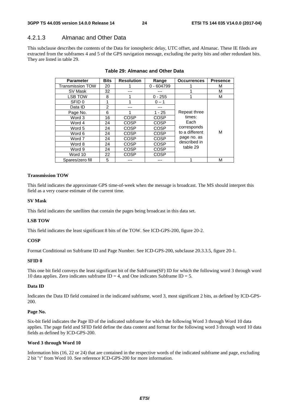### 4.2.1.3 Almanac and Other Data

This subclause describes the contents of the Data for ionospheric delay, UTC offset, and Almanac. These IE fileds are extracted from the subframes 4 and 5 of the GPS navigation message, excluding the parity bits and other redundant bits. They are listed in table 29.

| <b>Parameter</b>        | <b>Bits</b>    | <b>Resolution</b> | Range        | <b>Occurrences</b> | <b>Presence</b> |
|-------------------------|----------------|-------------------|--------------|--------------------|-----------------|
| <b>Transmission TOW</b> | 20             |                   | $0 - 604799$ |                    | м               |
| SV Mask                 | 32             |                   |              |                    | м               |
| <b>LSB TOW</b>          | 8              |                   | $0 - 255$    |                    | м               |
| SFID 0                  | 1              |                   | $0 - 1$      |                    |                 |
| Data ID                 | $\overline{2}$ |                   | ---          |                    |                 |
| Page No.                | 6              |                   | $1 - 25$     | Repeat three       |                 |
| Word 3                  | 16             | COSP              | COSP         | times:             |                 |
| Word 4                  | 24             | <b>COSP</b>       | <b>COSP</b>  | Each               |                 |
| Word 5                  | 24             | COSP              | <b>COSP</b>  | corresponds        |                 |
| Word 6                  | 24             | COSP              | <b>COSP</b>  | to a different     | М               |
| Word 7                  | 24             | COSP              | COSP         | page no. as        |                 |
| Word 8                  | 24             | <b>COSP</b>       | COSP         | described in       |                 |
| Word 9                  | 24             | COSP              | COSP         | table 29           |                 |
| Word 10                 | 22             | <b>COSP</b>       | COSP         |                    |                 |
| Spares/zero fill        | 5              |                   |              |                    | м               |

#### **Table 29: Almanac and Other Data**

#### **Transmission TOW**

This field indicates the approximate GPS time-of-week when the message is broadcast. The MS should interpret this field as a very coarse estimate of the current time.

#### **SV Mask**

This field indicates the satellites that contain the pages being broadcast in this data set.

#### **LSB TOW**

This field indicates the least significant 8 bits of the TOW. See ICD-GPS-200, figure 20-2.

#### **COSP**

Format Conditional on Subframe ID and Page Number. See ICD-GPS-200, subclause 20.3.3.5, figure 20-1.

#### **SFID 0**

This one bit field conveys the least significant bit of the SubFrame(SF) ID for which the following word 3 through word 10 data applies. Zero indicates subframe  $ID = 4$ , and One indicates Subframe  $ID = 5$ .

#### **Data ID**

Indicates the Data ID field contained in the indicated subframe, word 3, most significant 2 bits, as defined by ICD-GPS-200.

#### **Page No.**

Six-bit field indicates the Page ID of the indicated subframe for which the following Word 3 through Word 10 data applies. The page field and SFID field define the data content and format for the following word 3 through word 10 data fields as defined by ICD-GPS-200.

#### **Word 3 through Word 10**

Information bits (16, 22 or 24) that are contained in the respective words of the indicated subframe and page, excluding 2 bit "t" from Word 10. See reference ICD-GPS-200 for more information.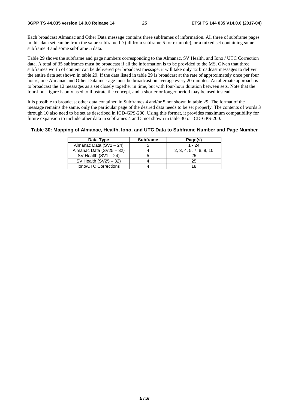Each broadcast Almanac and Other Data message contains three subframes of information. All three of subframe pages in this data set can be from the same subframe ID (all from subframe 5 for example), or a mixed set containing some subframe 4 and some subframe 5 data.

Table 29 shows the subframe and page numbers corresponding to the Almanac, SV Health, and Iono / UTC Correction data. A total of 35 subframes must be broadcast if all the information is to be provided to the MS. Given that three subframes worth of content can be delivered per broadcast message, it will take only 12 broadcast messages to deliver the entire data set shown in table 29. If the data listed in table 29 is broadcast at the rate of approximately once per four hours, one Almanac and Other Data message must be broadcast on average every 20 minutes. An alternate approach is to broadcast the 12 messages as a set closely together in time, but with four-hour duration between sets. Note that the four-hour figure is only used to illustrate the concept, and a shorter or longer period may be used instead.

It is possible to broadcast other data contained in Subframes 4 and/or 5 not shown in table 29. The format of the message remains the same, only the particular page of the desired data needs to be set properly. The contents of words 3 through 10 also need to be set as described in ICD-GPS-200. Using this format, it provides maximum compatibility for future expansion to include other data in subframes 4 and 5 not shown in table 30 or ICD-GPS-200.

#### **Table 30: Mapping of Almanac, Health, Iono, and UTC Data to Subframe Number and Page Number**

| Data Type                | <b>Subframe</b> | Page(s)                 |
|--------------------------|-----------------|-------------------------|
| Almanac Data (SV1 - 24)  |                 | $1 - 24$                |
| Almanac Data (SV25 - 32) |                 | 2, 3, 4, 5, 7, 8, 9, 10 |
| SV Health $(SV1 - 24)$   |                 | 25                      |
| SV Health $(SV25 - 32)$  |                 | 25                      |
| Iono/UTC Corrections     |                 |                         |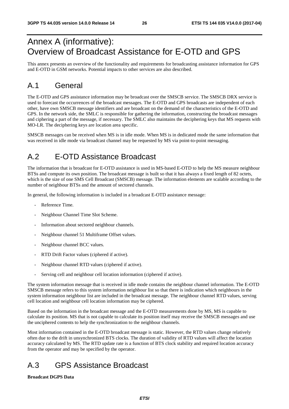## Annex A (informative): Overview of Broadcast Assistance for E-OTD and GPS

This annex presents an overview of the functionality and requirements for broadcasting assistance information for GPS and E-OTD in GSM networks. Potential impacts to other services are also described.

## A.1 General

The E-OTD and GPS assistance information may be broadcast over the SMSCB service. The SMSCB DRX service is used to forecast the occurrences of the broadcast messages. The E-OTD and GPS broadcasts are independent of each other, have own SMSCB message identifiers and are broadcast on the demand of the characteristics of the E-OTD and GPS. In the network side, the SMLC is responsible for gathering the information, constructing the broadcast messages and ciphering a part of the message, if necessary. The SMLC also maintains the deciphering keys that MS requests with MO-LR. The deciphering keys are location area specific.

SMSCB messages can be received when MS is in idle mode. When MS is in dedicated mode the same information that was received in idle mode via broadcast channel may be requested by MS via point-to-point messaging.

## A.2 E-OTD Assistance Broadcast

The information that is broadcast for E-OTD assistance is used in MS-based E-OTD to help the MS measure neighbour BTSs and compute its own position. The broadcast message is built so that it has always a fixed length of 82 octets, which is the size of one SMS Cell Broadcast (SMSCB) message. The information elements are scalable according to the number of neighbour BTSs and the amount of sectored channels.

In general, the following information is included in a broadcast E-OTD assistance message:

- Reference Time.
- Neighbour Channel Time Slot Scheme.
- Information about sectored neighbour channels.
- Neighbour channel 51 Multiframe Offset values.
- Neighbour channel BCC values.
- RTD Drift Factor values (ciphered if active).
- Neighbour channel RTD values (ciphered if active).
- Serving cell and neighbour cell location information (ciphered if active).

The system information message that is received in idle mode contains the neighbour channel information. The E-OTD SMSCB message refers to this system information neighbour list so that there is indication which neighbours in the system information neighbour list are included in the broadcast message. The neighbour channel RTD values, serving cell location and neighbour cell location information may be ciphered.

Based on the information in the broadcast message and the E-OTD measurements done by MS, MS is capable to calculate its position. MS that is not capable to calculate its position itself may receive the SMSCB messages and use the unciphered contents to help the synchronization to the neighbour channels.

Most information contained in the E-OTD broadcast message is static. However, the RTD values change relatively often due to the drift in unsynchronized BTS clocks. The duration of validity of RTD values will affect the location accuracy calculated by MS. The RTD update rate is a function of BTS clock stability and required location accuracy from the operator and may be specified by the operator.

## A.3 GPS Assistance Broadcast

#### **Broadcast DGPS Data**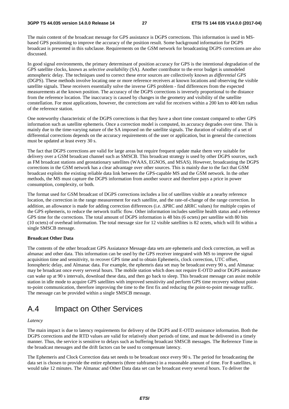The main content of the broadcast message for GPS assistance is DGPS corrections. This information is used in MSbased GPS positioning to improve the accuracy of the position result. Some background information for DGPS broadcast is presented in this subclause. Requirements on the GSM network for broadcasting DGPS corrections are also discussed.

In good signal environments, the primary determinant of position accuracy for GPS is the intentional degradation of the GPS satellite clocks, known as *selective availability* (SA). Another contributor to the error budget is unmodeled atmospheric delay. The techniques used to correct these error sources are collectively known as *differential GPS* (DGPS). These methods involve locating one or more reference receivers at known locations and observing the visible satellite signals. These receivers essentially solve the inverse GPS problem - find differences from the expected measurements at the known position. The accuracy of the DGPS corrections is inversely proportional to the distance from the reference location. The inaccuracy is caused by changes in the geometry and visibility of the satellite constellation. For most applications, however, the corrections are valid for receivers within a 200 km to 400 km radius of the reference station.

One noteworthy characteristic of the DGPS corrections is that they have a short time constant compared to other GPS information such as satellite ephemeris. Once a correction model is computed, its accuracy degrades over time. This is mainly due to the time-varying nature of the SA imposed on the satellite signals. The duration of validity of a set of differential corrections depends on the accuracy requirements of the user or application, but in general the corrections must be updated at least every 30 s.

The fact that DGPS corrections are valid for large areas but require frequent update make them very suitable for delivery over a GSM broadcast channel such as SMSCB. This broadcast strategy is used by other DGPS sources, such as FM broadcast stations and geostationary satellites (WAAS, EGNOS, and MSAS). However, broadcasting the DGPS corrections in the GSM network has a clear advantage over other sources. This is mainly due to the fact that GSM broadcast exploits the existing reliable data link between the GPS-capable MS and the GSM network. In the other methods, the MS must capture the DGPS information from another source and therefore pays a price in power consumption, complexity, or both.

The format used for GSM broadcast of DGPS corrections includes a list of satellites visible at a nearby reference location, the correction in the range measurement for each satellite, and the rate-of-change of the range correction. In addition, an allowance is made for adding correction differences (i.e. ΔPRC and ΔRRC values) for multiple copies of the GPS ephemeris, to reduce the network traffic flow. Other information includes satellite health status and a reference GPS time for the corrections. The total amount of DGPS information is 48 bits (6 octets) per satellite with 80 bits (10 octets) of overhead information. The total message size for 12 visible satellites is 82 octets, which will fit within a single SMSCB message.

#### **Broadcast Other Data**

The contents of the other broadcast GPS Assiatance Message data sets are ephemeris and clock correction, as well as almanac and other data. This information can be used by the GPS receiver integrated with MS to improve the signal acquisition time and sensitivity, to recover GPS time and to obtain Ephemeris, clock correction, UTC offset, Ionospheric delay, and Almanac data. For example, the ephemris data set may be broadcast every 90 s, and Almanac may be broadcast once every serveral hours. The mobile station which does not require E-OTD and/or DGPS assistance can wake up at 90 s intervals, download these data, and then go back to sleep. This broadcast message can assist mobile station in idle mode to acquire GPS satellites with improved sensitivity and perform GPS time recovery without pointto-point communication, therefore improving the time to the first fix and reducing the point-to-point message traffic. The message can be provided within a single SMSCB message.

## A.4 Impact on Other Services

#### *Latency*

The main impact is due to latency requirements for delivery of the DGPS and E-OTD assistance information. Both the DGPS corrections and the RTD values are valid for relatively short periods of time, and must be delivered in a timely manner. Thus, the service is sensitive to delays such as buffering broadcast SMSCB messages. The Reference Time in the broadcast messages and the drift factors can be used to compensate latency.

The Ephemeris and Clock Correction data set needs to be broadcast once every 90 s. The period for broadcasting the data set is chosen to provide the entire ephemeris (three subframes) in a reasonable amount of time. For 8 satellites, it would take 12 minutes. The Almanac and Other Data data set can be broadcast every several hours. To deliver the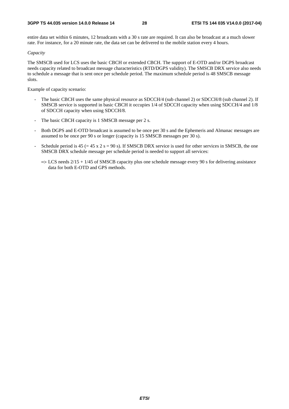entire data set within 6 minutes, 12 broadcasts with a 30 s rate are required. It can also be broadcast at a much slower rate. For instance, for a 20 minute rate, the data set can be delivered to the mobile station every 4 hours.

#### *Capacity*

The SMSCB used for LCS uses the basic CBCH or extended CBCH. The support of E-OTD and/or DGPS broadcast needs capacity related to broadcast message characteristics (RTD/DGPS validity). The SMSCB DRX service also needs to schedule a message that is sent once per schedule period. The maximum schedule period is 48 SMSCB message slots.

Example of capacity scenario:

- The basic CBCH uses the same physical resource as SDCCH/4 (sub channel 2) or SDCCH/8 (sub channel 2). If SMSCB service is supported in basic CBCH it occupies 1/4 of SDCCH capacity when using SDCCH/4 and 1/8 of SDCCH capacity when using SDCCH/8.
- The basic CBCH capacity is 1 SMSCB message per 2 s.
- Both DGPS and E-OTD broadcast is assumed to be once per 30 s and the Ephemeris and Almanac messages are assumed to be once per 90 s or longer (capacity is 15 SMSCB messages per 30 s).
- Schedule period is  $45 (= 45 \times 2 \text{ s} = 90 \text{ s})$ . If SMSCB DRX service is used for other services in SMSCB, the one SMSCB DRX schedule message per schedule period is needed to support all services:
	- $\Rightarrow$  LCS needs 2/15 + 1/45 of SMSCB capacity plus one schedule message every 90 s for delivering assistance data for both E-OTD and GPS methods.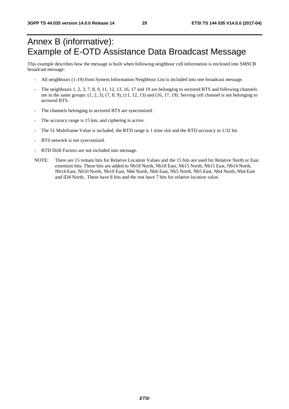## Annex B (informative): Example of E-OTD Assistance Data Broadcast Message

This example describes how the message is built when following neighbour cell information is enclosed into SMSCB broadcast message:

- All neighbours (1-19) from System Information Neighbour List is included into one broadcast message.
- The neighbours 1, 2, 3, 7, 8, 9, 11, 12, 13, 16, 17 and 19 are belonging to sectored BTS and following channels are in the same groups: (1, 2, 3), (7, 8, 9), (11, 12, 13) and (16, 17, 19). Serving cell channel is not belonging to sectored BTS.
- The channels belonging to sectored BTS are syncronized.
- The accuracy range is 15 km, and ciphering is active.
- The 51 Multiframe Value is included, the RTD range is 1 time slot and the RTD accuracy in 1/32 bit.
- BTS network is not syncronized.
- RTD Drift Factors are not included into message.
- NOTE: There are 15 remain bits for Relative Location Values and the 15 bits are used for Relative North or East extention bits. These bits are added to Nb18 North, Nb18 East, Nb15 North, Nb15 East, Nb14 North, Nb14 East, Nb10 North, Nb10 East, Nb6 North, Nb6 East, Nb5 North, Nb5 East, Nb4 North, Nb4 East and ID4 North.. These have 8 bits and the rest have 7 bits for relative location value.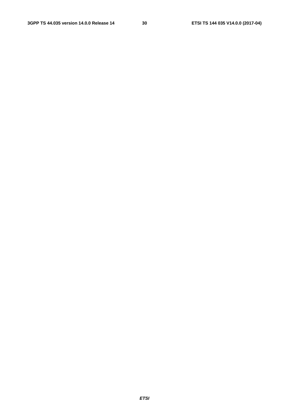*ETSI*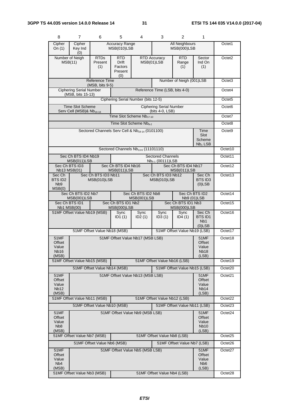| 8                                                             | 7                                                                                                        | 6                                                           | 5                                         | 4                                               | 3                                                        | 2                                        | 1                                                               |                     |
|---------------------------------------------------------------|----------------------------------------------------------------------------------------------------------|-------------------------------------------------------------|-------------------------------------------|-------------------------------------------------|----------------------------------------------------------|------------------------------------------|-----------------------------------------------------------------|---------------------|
| Cipher<br>On $(1)$                                            | <b>Accuracy Range</b><br>All Neighbours<br>Cipher<br><b>MSB(000)LSB</b><br>Key Ind<br>MSB(010)LSB<br>(0) |                                                             |                                           |                                                 |                                                          |                                          |                                                                 |                     |
|                                                               | Number of Neigh<br>MSB(11)                                                                               | RTD <sub>s</sub><br>Present<br>(1)                          | RTD<br>Drift<br>Factors<br>Present<br>(0) |                                                 | <b>RTD Accuracy</b><br>MSB(01)LSB                        | <b>RTD</b><br>Range<br>(1)               | Sector<br>Ind On<br>(1)                                         | Octet <sub>2</sub>  |
| Reference Time<br>Number of Neigh (001)LSB<br>(MSB, bits 9-5) |                                                                                                          |                                                             |                                           |                                                 |                                                          |                                          |                                                                 | Octet <sub>3</sub>  |
|                                                               | <b>Ciphering Serial Number</b><br>(MSB, bits 15-13)                                                      |                                                             |                                           |                                                 | Reference Time (LSB, bits 4-0)                           |                                          |                                                                 | Octet4              |
|                                                               |                                                                                                          |                                                             |                                           | Ciphering Serial Number (bits 12-5)             |                                                          |                                          |                                                                 | Octet <sub>5</sub>  |
|                                                               | <b>Time Slot Scheme</b><br>Serv Cell (MSB)& Nb <sub>19-18</sub>                                          |                                                             |                                           |                                                 | <b>Ciphering Serial Number</b><br>(bits 4-0, LSB)        |                                          |                                                                 | Octet <sub>6</sub>  |
|                                                               |                                                                                                          |                                                             |                                           | Time Slot Scheme Nb17-10                        |                                                          |                                          |                                                                 | Octet7              |
|                                                               |                                                                                                          |                                                             |                                           | Time Slot Scheme Nb <sub>9-2</sub>              |                                                          |                                          |                                                                 | Octet8              |
|                                                               |                                                                                                          | Sectored Channels Serv Cell & Nb <sub>19-14</sub> (0101100) |                                           |                                                 |                                                          |                                          | Time<br>Slot<br>Scheme<br>$Nb1$ LSB                             | Octet <sub>9</sub>  |
|                                                               |                                                                                                          |                                                             |                                           | Sectored Channels Nb <sub>13-6</sub> (11101110) |                                                          |                                          |                                                                 | Octet <sub>10</sub> |
|                                                               | Sec Ch BTS ID4 Nb19<br>MSB(011)LSB                                                                       |                                                             |                                           |                                                 | <b>Sectored Channels</b><br>Nb <sub>5-1</sub> (00111)LSB |                                          |                                                                 | Octet11             |
|                                                               | Sec Ch BTS ID3<br>Nb13 MSB(01)                                                                           |                                                             | Sec Ch BTS ID4 Nb16<br>MSB(011)LSB        |                                                 |                                                          | Sec Ch BTS ID4 Nb17<br>MSB(011)LSB       |                                                                 | Octet12             |
| Sec Ch<br><b>BTS ID2</b><br>N <sub>b</sub> 9<br>MSB(0)        |                                                                                                          | Sec Ch BTS ID3 Nb11<br>MSB(010)LSB                          |                                           |                                                 | Sec Ch BTS ID3 Nb12<br>MSB(010)LSB                       |                                          | Sec Ch<br>BTS ID3<br>$(0)$ LSB                                  | Octet13             |
|                                                               | Sec Ch BTS ID2 Nb7<br>MSB(001)LSB                                                                        |                                                             |                                           | Sec Ch BTS ID2 Nb8<br>MSB(001)LSB               |                                                          |                                          | Sec Ch BTS ID2<br>Nb9 (01)LSB                                   | Octet14             |
|                                                               | Sec Ch BTS ID1<br><b>Nb1 MSB(00)</b>                                                                     |                                                             | Sec Ch BTS ID1 Nb2<br>MSB(000)LSB         |                                                 |                                                          | Sec Ch BTS ID1 Nb3<br><b>MSB(000)LSB</b> |                                                                 | Octet15             |
|                                                               | 51MF Offset Value Nb19 (MSB)                                                                             |                                                             | Sync<br>ID1(1)                            | Sync<br>ID2(1)                                  | Sync<br>ID3(1)                                           | Sync<br>ID4(1)                           | Sec Ch<br><b>BTS ID1</b><br>N <sub>b</sub> 1<br>$(0)$ LSB       | Octet16             |
|                                                               |                                                                                                          | 51MF Offset Value Nb18 (MSB)                                |                                           |                                                 |                                                          | 51MF Offset Value Nb19 (LSB)             |                                                                 | Octet17             |
| 51MF<br>Offset<br>Value<br>Nb16<br>(MSB)                      |                                                                                                          |                                                             |                                           | 51MF Offset Value Nb17 (MSB LSB)                |                                                          |                                          | 51MF<br>Offset<br>Value<br>Nb <sub>18</sub><br>(LSB)            | Octet18             |
|                                                               | 51MF Offset Value Nb15 (MSB)                                                                             |                                                             |                                           |                                                 | 51MF Offset Value Nb16 (LSB)                             |                                          |                                                                 | Octet19             |
|                                                               |                                                                                                          | 51MF Offset Value Nb14 (MSB)                                |                                           |                                                 |                                                          | 51MF Offset Value Nb15 (LSB)             |                                                                 | Octet20             |
| Offset<br>Value<br><b>Nb12</b><br>(MSB)                       | 51MF<br>51MF Offset Value Nb13 (MSB LSB)<br><b>51MF</b><br>Offset<br>Value<br>Nb <sub>14</sub>           |                                                             |                                           |                                                 |                                                          |                                          | (LSB)                                                           | Octet21             |
|                                                               | 51MF Offset Value Nb11 (MSB)                                                                             |                                                             |                                           |                                                 | 51MF Offset Value Nb12 (LSB)                             |                                          |                                                                 | Octet22             |
|                                                               |                                                                                                          | 51MF Offset Value Nb10 (MSB)                                |                                           |                                                 |                                                          | 51MF Offset Value Nb11 (LSB)             |                                                                 | Octet23             |
| Offset<br>Value<br>N <sub>b</sub> 8<br>(MSB)                  | 51MF Offset Value Nb9 (MSB LSB)<br>51MF<br>51MF<br>Offset<br>Value<br><b>Nb10</b><br>(LSB)               |                                                             |                                           |                                                 |                                                          |                                          | Octet24                                                         |                     |
| 51MF Offset Value Nb8 (LSB)<br>51MF Offset Value Nb7 (MSB)    |                                                                                                          |                                                             |                                           |                                                 |                                                          |                                          | Octet25                                                         |                     |
|                                                               |                                                                                                          | 51MF Offset Value Nb6 (MSB)                                 |                                           |                                                 |                                                          | 51MF Offset Value Nb7 (LSB)              |                                                                 | Octet26             |
| 51MF<br>Offset<br>Value<br>N <sub>b</sub> 4<br>(MSB)          |                                                                                                          |                                                             |                                           | 51MF Offset Value Nb5 (MSB LSB)                 |                                                          |                                          | 51MF<br>Offset<br>Value<br>N <sub>b</sub> <sub>6</sub><br>(LSB) | Octet27             |
|                                                               | 51MF Offset Value Nb3 (MSB)<br>51MF Offset Value Nb4 (LSB)                                               |                                                             |                                           |                                                 |                                                          |                                          |                                                                 | Octet <sub>28</sub> |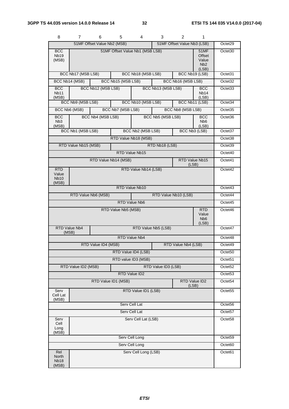| ୪                                         |                                             | 6                           | 5                   | 4                               | 3.                  | $\mathbf{z}$                | 1                                                           |                     |
|-------------------------------------------|---------------------------------------------|-----------------------------|---------------------|---------------------------------|---------------------|-----------------------------|-------------------------------------------------------------|---------------------|
|                                           |                                             | 51MF Offset Value Nb2 (MSB) |                     |                                 |                     | 51MF Offset Value Nb3 (LSB) |                                                             | Octet29             |
| <b>BCC</b><br><b>Nb19</b><br>(MSB)        |                                             |                             |                     | 51MF Offset Value Nb1 (MSB LSB) |                     |                             | <b>51MF</b><br>Offset<br>Value<br>N <sub>b</sub> 2<br>(LSB) | Octet <sub>30</sub> |
|                                           | BCC Nb17 (MSB LSB)                          |                             |                     | BCC Nb18 (MSB LSB)              |                     |                             | BCC Nb19 (LSB)                                              | Octet31             |
|                                           | BCC Nb14 (MSB)                              |                             | BCC Nb15 (MSB LSB)  |                                 |                     | BCC Nb16 (MSB LSB)          |                                                             | Octet <sub>32</sub> |
| <b>BCC</b><br><b>Nb11</b><br>(MSB)        |                                             | BCC Nb12 (MSB LSB)          |                     |                                 | BCC Nb13 (MSB LSB)  |                             | <b>BCC</b><br>Nb <sub>14</sub><br>(LSB)                     | Octet <sub>33</sub> |
|                                           | BCC Nb9 (MSB LSB)                           |                             |                     | BCC Nb10 (MSB LSB)              |                     |                             | BCC Nb11 (LSB)                                              | Octet34             |
|                                           | BCC Nb6 (MSB)                               |                             | BCC Nb7 (MSB LSB)   |                                 |                     | BCC Nb8 (MSB LSB)           |                                                             | Octet <sub>35</sub> |
| <b>BCC</b><br>N <sub>b</sub> 3<br>(MSB)   |                                             | BCC Nb4 (MSB LSB)           |                     |                                 | BCC Nb5 (MSB LSB)   |                             | <b>BCC</b><br>N <sub>b</sub> 6<br>(LSB)                     | Octet36             |
|                                           | <b>BCC Nb1 (MSB LSB)</b>                    |                             |                     | BCC Nb2 (MSB LSB)               |                     |                             | BCC Nb3 (LSB)                                               | Octet37             |
|                                           |                                             |                             |                     | RTD Value Nb18 (MSB)            |                     |                             |                                                             | Octet38             |
|                                           | RTD Value Nb15 (MSB)                        |                             |                     |                                 | RTD Nb18 (LSB)      |                             |                                                             | Octet39             |
|                                           |                                             |                             |                     | RTD Value Nb15                  |                     |                             |                                                             | Octet40             |
|                                           |                                             | RTD Value Nb14 (MSB)        |                     |                                 |                     |                             | RTD Value Nb15<br>(LSB)                                     | Octet41             |
| RTD<br>Value<br><b>Nb10</b><br>(MSB)      | RTD Value Nb14 (LSB)                        |                             |                     |                                 |                     |                             | Octet42                                                     |                     |
|                                           |                                             |                             |                     | RTD Value Nb10                  |                     |                             |                                                             | Octet43             |
|                                           | RTD Value Nb6 (MSB)<br>RTD Value Nb10 (LSB) |                             |                     |                                 |                     |                             |                                                             | Octet44             |
|                                           |                                             |                             |                     | RTD Value Nb6                   |                     |                             |                                                             | Octet45             |
|                                           |                                             |                             | RTD Value Nb5 (MSB) |                                 |                     |                             | <b>RTD</b><br>Value<br>N <sub>b</sub> <sub>6</sub><br>(LSB) | Octet46             |
| (MSB)                                     | RTD Value Nb4                               |                             |                     |                                 | RTD Value Nb5 (LSB) |                             |                                                             | Octet47             |
|                                           |                                             |                             |                     | RTD Value Nb4                   |                     |                             |                                                             | Octet48             |
|                                           |                                             | RTD Value ID4 (MSB)         |                     |                                 |                     | RTD Value Nb4 (LSB)         |                                                             | Octet49             |
|                                           |                                             |                             |                     | RTD Value ID4 (LSB)             |                     |                             |                                                             | Octet50             |
|                                           |                                             |                             |                     | RTD value ID3 (MSB)             |                     |                             |                                                             | Octet <sub>51</sub> |
| RTD Value ID2 (MSB)                       |                                             |                             | RTD Value ID3 (LSB) |                                 |                     |                             |                                                             | Octet <sub>52</sub> |
|                                           |                                             |                             |                     | RTD Value ID2                   |                     |                             |                                                             | Octet53             |
|                                           |                                             | RTD Value ID1 (MSB)         |                     |                                 |                     |                             | RTD Value ID2<br>(LSB)                                      | Octet54             |
| Serv<br>Cell Lat<br>(MSB)                 |                                             |                             |                     | RTD Value ID1 (LSB)             |                     |                             |                                                             | Octet55             |
|                                           | Serv Cell Lat                               |                             |                     |                                 |                     |                             |                                                             | Octet56             |
| Serv Cell Lat                             |                                             |                             |                     |                                 |                     |                             | Octet57                                                     |                     |
| Serv<br>Cell<br>Long<br>(MSB)             |                                             |                             |                     | Serv Cell Lat (LSB)             |                     |                             |                                                             | Octet <sub>58</sub> |
|                                           |                                             |                             |                     | Serv Cell Long                  |                     |                             |                                                             | Octet59             |
|                                           | Serv Cell Long                              |                             |                     |                                 |                     |                             | Octet60                                                     |                     |
| Rel<br>North<br>Nb <sub>18</sub><br>(MSB) |                                             |                             |                     | Serv Cell Long (LSB)            |                     |                             |                                                             | Octet61             |

8 7 6 5 4 3 2 1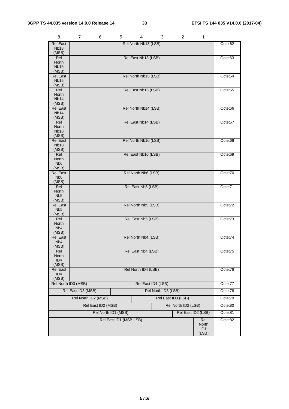| 8                         | 7                   | 6                   | 5                      | 4                    | 3                   | 2                   | 1                  |         |
|---------------------------|---------------------|---------------------|------------------------|----------------------|---------------------|---------------------|--------------------|---------|
| <b>Rel East</b>           |                     |                     |                        | Rel North Nb18 (LSB) |                     |                     |                    | Octet62 |
| <b>Nb18</b><br>(MSB)      |                     |                     |                        |                      |                     |                     |                    |         |
| Rel                       |                     |                     |                        | Rel East Nb18 (LSB)  |                     |                     |                    | Octet63 |
| North                     |                     |                     |                        |                      |                     |                     |                    |         |
| <b>Nb15</b><br>(MSB)      |                     |                     |                        |                      |                     |                     |                    |         |
| <b>Rel East</b>           |                     |                     |                        | Rel North Nb15 (LSB) |                     |                     |                    | Octet64 |
| <b>Nb15</b>               |                     |                     |                        |                      |                     |                     |                    |         |
| (MSB)<br>Rel              |                     |                     |                        | Rel East Nb15 (LSB)  |                     |                     |                    | Octet65 |
| North                     |                     |                     |                        |                      |                     |                     |                    |         |
| Nb <sub>14</sub>          |                     |                     |                        |                      |                     |                     |                    |         |
| (MSB)<br><b>Rel East</b>  |                     |                     |                        | Rel North Nb14 (LSB) |                     |                     |                    | Octet66 |
| Nb <sub>14</sub>          |                     |                     |                        |                      |                     |                     |                    |         |
| (MSB)                     |                     |                     |                        |                      |                     |                     |                    |         |
| Rel<br>North              |                     |                     |                        | Rel East Nb14 (LSB)  |                     |                     |                    | Octet67 |
| <b>Nb10</b>               |                     |                     |                        |                      |                     |                     |                    |         |
| (MSB)                     |                     |                     |                        |                      |                     |                     |                    |         |
| Rel East<br><b>Nb10</b>   |                     |                     |                        | Rel North Nb10 (LSB) |                     |                     |                    | Octet68 |
| (MSB)                     |                     |                     |                        |                      |                     |                     |                    |         |
| Rel                       |                     |                     |                        | Rel East Nb10 (LSB)  |                     |                     |                    | Octet69 |
| North<br>Nb <sub>6</sub>  |                     |                     |                        |                      |                     |                     |                    |         |
| (MSB)                     |                     |                     |                        |                      |                     |                     |                    |         |
| <b>Rel East</b>           |                     |                     |                        | Rel North Nb6 (LSB)  |                     |                     |                    | Octet70 |
| N <sub>b</sub> 6<br>(MSB) |                     |                     |                        |                      |                     |                     |                    |         |
| Rel                       |                     |                     |                        | Rel East Nb6 (LSB)   |                     |                     |                    | Octet71 |
| North<br>N <sub>b5</sub>  |                     |                     |                        |                      |                     |                     |                    |         |
| (MSB)                     |                     |                     |                        |                      |                     |                     |                    |         |
| <b>Rel East</b>           |                     |                     |                        | Rel North Nb5 (LSB)  |                     |                     |                    | Octet72 |
| Nb <sub>5</sub><br>(MSB)  |                     |                     |                        |                      |                     |                     |                    |         |
| Rel                       |                     |                     |                        | Rel East Nb5 (LSB)   |                     |                     |                    | Octet73 |
| North                     |                     |                     |                        |                      |                     |                     |                    |         |
| Nb <sub>4</sub><br>(MSB)  |                     |                     |                        |                      |                     |                     |                    |         |
| <b>Rel East</b>           |                     |                     |                        | Rel North Nb4 (LSB)  |                     |                     |                    | Octet74 |
| N <sub>b</sub> 4          |                     |                     |                        |                      |                     |                     |                    |         |
| (MSB)<br>Rel              |                     |                     |                        | Rel East Nb4 (LSB)   |                     |                     |                    | Octet/5 |
| North                     |                     |                     |                        |                      |                     |                     |                    |         |
| ID4                       |                     |                     |                        |                      |                     |                     |                    |         |
| (MSB)<br><b>Rel East</b>  |                     |                     |                        | Rel North ID4 (LSB)  |                     |                     |                    | Octet76 |
| ID <sub>4</sub>           |                     |                     |                        |                      |                     |                     |                    |         |
| (MSB)                     |                     |                     |                        |                      |                     |                     |                    |         |
|                           | Rel North ID3 (MSB) |                     |                        |                      | Rel East ID4 (LSB)  |                     |                    | Octet77 |
|                           | Rel East ID3 (MSB)  |                     |                        |                      | Rel North ID3 (LSB) |                     |                    | Octet78 |
|                           | Rel North ID2 (MSB) |                     |                        |                      |                     | Rel East ID3 (LSB)  |                    | Octet79 |
|                           |                     | Rel East ID2 (MSB)  |                        |                      |                     | Rel North ID2 (LSB) |                    | Octet80 |
|                           |                     | Rel North ID1 (MSB) |                        |                      |                     |                     | Rel East ID2 (LSB) | Octet81 |
|                           |                     |                     | Rel East ID1 (MSB LSB) |                      |                     |                     | Rel<br>North       | Octet82 |
|                           |                     |                     |                        |                      |                     |                     | ID1                |         |
|                           |                     |                     |                        |                      |                     |                     | (LSB)              |         |

*ETSI*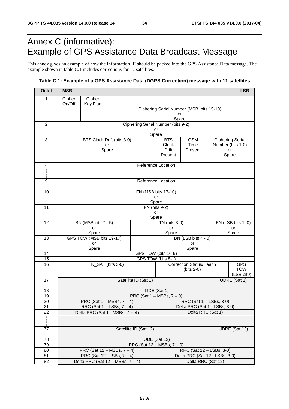## Annex C (informative): Example of GPS Assistance Data Broadcast Message

This annex gives an example of how the information IE should be packed into the GPS Assistance Data message. The example shown in table C.1 includes corrections for 12 satellites.

#### **Table C.1: Example of a GPS Assistance Data (DGPS Correction) message with 11 satellites**

| <b>Octet</b>    | <b>MSB</b>                                                                |          |                                 |                                    |                                |                                                 |  | <b>LSB</b>               |
|-----------------|---------------------------------------------------------------------------|----------|---------------------------------|------------------------------------|--------------------------------|-------------------------------------------------|--|--------------------------|
| 1               | Cipher                                                                    | Cipher   |                                 |                                    |                                |                                                 |  |                          |
|                 | On/Off                                                                    | Key Flag |                                 |                                    |                                |                                                 |  |                          |
|                 |                                                                           |          |                                 |                                    | or                             | Ciphering Serial Number (MSB, bits 15-10)       |  |                          |
|                 |                                                                           |          |                                 |                                    | Spare                          |                                                 |  |                          |
| $\overline{c}$  |                                                                           |          |                                 | Ciphering Serial Number (bits 9-2) |                                |                                                 |  |                          |
|                 |                                                                           |          |                                 |                                    | or<br>Spare                    |                                                 |  |                          |
| 3               |                                                                           |          | BTS Clock Drift (bits 3-0)      |                                    | <b>BTS</b>                     | <b>GSM</b>                                      |  | <b>Ciphering Serial</b>  |
|                 |                                                                           |          | or                              |                                    | Clock                          | Time                                            |  | Number (bits 1-0)        |
|                 |                                                                           |          | Spare                           |                                    | Drift<br>Present               | Present                                         |  | or<br>Spare              |
|                 |                                                                           |          |                                 |                                    |                                |                                                 |  |                          |
| 4               |                                                                           |          |                                 | Reference Location                 |                                |                                                 |  |                          |
|                 |                                                                           |          |                                 |                                    |                                |                                                 |  |                          |
| 9               |                                                                           |          |                                 | Reference Location                 |                                |                                                 |  |                          |
|                 |                                                                           |          |                                 |                                    |                                |                                                 |  |                          |
| 10              |                                                                           |          |                                 |                                    | FN (MSB bits 17-10)            |                                                 |  |                          |
|                 |                                                                           |          |                                 | Spare                              | or                             |                                                 |  |                          |
| 11              |                                                                           |          |                                 | FN (bits 9-2)                      |                                |                                                 |  |                          |
|                 |                                                                           |          |                                 | or                                 |                                |                                                 |  |                          |
| 12              | BN (MSB bits 7 - 5)                                                       |          |                                 |                                    | Spare<br>TN (bits 3-0)         |                                                 |  | FN (LSB bits 1-0)        |
|                 | or                                                                        |          |                                 |                                    | or                             |                                                 |  | or                       |
|                 |                                                                           | Spare    |                                 |                                    | Spare                          |                                                 |  | Spare                    |
| 13              | GPS TOW (MSB bits 19-17)<br>or                                            |          |                                 |                                    |                                | BN (LSB bits 4 - 0)<br>or                       |  |                          |
|                 | Spare                                                                     |          |                                 |                                    |                                | Spare                                           |  |                          |
| 14              | GPS TOW (bits 16-9)                                                       |          |                                 |                                    |                                |                                                 |  |                          |
| 15              | GPS TOW (bits 8-1)                                                        |          |                                 |                                    |                                |                                                 |  |                          |
| 16              | N_SAT (bits 3-0)                                                          |          |                                 |                                    |                                | <b>Correction Status/Health</b><br>$(bits 2-0)$ |  | <b>GPS</b><br><b>TOW</b> |
|                 |                                                                           |          |                                 |                                    |                                |                                                 |  | (LSB bit0)               |
| 17              | Satellite ID (Sat 1)                                                      |          |                                 |                                    |                                |                                                 |  | UDRE (Sat 1)             |
| 18              |                                                                           |          |                                 |                                    |                                |                                                 |  |                          |
| 19              | IODE (Sat 1)<br>PRC (Sat $1 - MSBs$ , $7 - 0$ )                           |          |                                 |                                    |                                |                                                 |  |                          |
| 20              |                                                                           |          | PRC (Sat $1 - MSBs$ , $7 - 4$ ) |                                    | RRC (Sat 1 - LSBs, 3-0)        |                                                 |  |                          |
| $\overline{21}$ | RRC (Sat $1 -$ LSBs, $7 - 4$ )                                            |          |                                 |                                    | Delta PRC (Sat 1 - LSBs, 3-0)  |                                                 |  |                          |
| 22              | Delta RRC (Sat 1)<br>Delta PRC (Sat 1 - MSBs, $7 - 4$ )                   |          |                                 |                                    |                                |                                                 |  |                          |
|                 |                                                                           |          |                                 |                                    |                                |                                                 |  |                          |
| 77              | Satellite ID (Sat 12)                                                     |          |                                 |                                    |                                |                                                 |  | UDRE (Sat 12)            |
| 78              | IODE (Sat 12)                                                             |          |                                 |                                    |                                |                                                 |  |                          |
| 79              |                                                                           |          |                                 | PRC (Sat $12 - MSBs$ , $7 - 0$ )   |                                |                                                 |  |                          |
| 80              | PRC (Sat $12 - \text{MSBs}, 7 - 4$ )                                      |          |                                 |                                    | RRC (Sat 12 - LSBs, 3-0)       |                                                 |  |                          |
| 81              | RRC (Sat $12 -$ LSBs, $7 - 4$ )<br>Delta PRC (Sat $12 - MSBs$ , $7 - 4$ ) |          |                                 |                                    | Delta PRC (Sat 12 - LSBs, 3-0) |                                                 |  |                          |
| 82              |                                                                           |          |                                 |                                    | Delta RRC (Sat 12)             |                                                 |  |                          |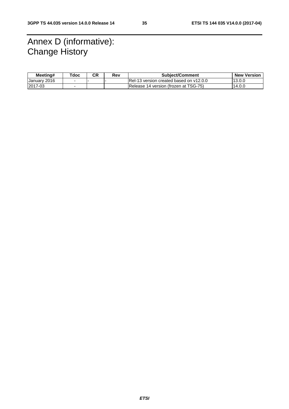## Annex D (informative): Change History

| Meeting#     | $\tau$ doc | СR | Rev | <b>Subiect/Comment</b>                   | <b>New Version</b> |
|--------------|------------|----|-----|------------------------------------------|--------------------|
| January 2016 |            |    |     | IRel-13 version created based on y12.0.0 | 13.0.0             |
| 2017-03      |            |    |     | Release 14 version (frozen at TSG-75)    | 14.0.0             |